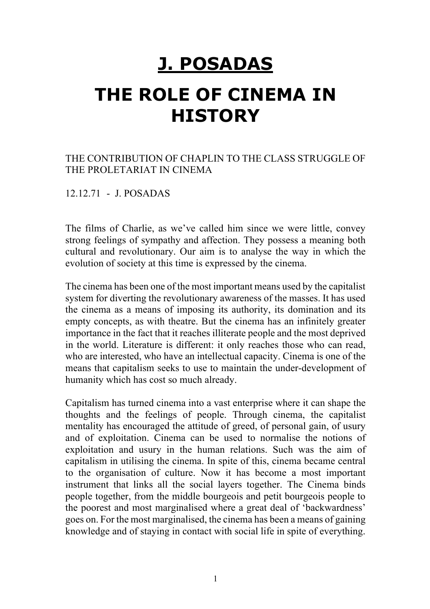## **J. POSADAS**

# **THE ROLE OF CINEMA IN HISTORY**

## THE CONTRIBUTION OF CHAPLIN TO THE CLASS STRUGGLE OF THE PROLETARIAT IN CINEMA

12.12.71 - J. POSADAS

The films of Charlie, as we've called him since we were little, convey strong feelings of sympathy and affection. They possess a meaning both cultural and revolutionary. Our aim is to analyse the way in which the evolution of society at this time is expressed by the cinema.

The cinema has been one of the most important means used by the capitalist system for diverting the revolutionary awareness of the masses. It has used the cinema as a means of imposing its authority, its domination and its empty concepts, as with theatre. But the cinema has an infinitely greater importance in the fact that it reaches illiterate people and the most deprived in the world. Literature is different: it only reaches those who can read, who are interested, who have an intellectual capacity. Cinema is one of the means that capitalism seeks to use to maintain the under-development of humanity which has cost so much already.

Capitalism has turned cinema into a vast enterprise where it can shape the thoughts and the feelings of people. Through cinema, the capitalist mentality has encouraged the attitude of greed, of personal gain, of usury and of exploitation. Cinema can be used to normalise the notions of exploitation and usury in the human relations. Such was the aim of capitalism in utilising the cinema. In spite of this, cinema became central to the organisation of culture. Now it has become a most important instrument that links all the social layers together. The Cinema binds people together, from the middle bourgeois and petit bourgeois people to the poorest and most marginalised where a great deal of 'backwardness' goes on. For the most marginalised, the cinema has been a means of gaining knowledge and of staying in contact with social life in spite of everything.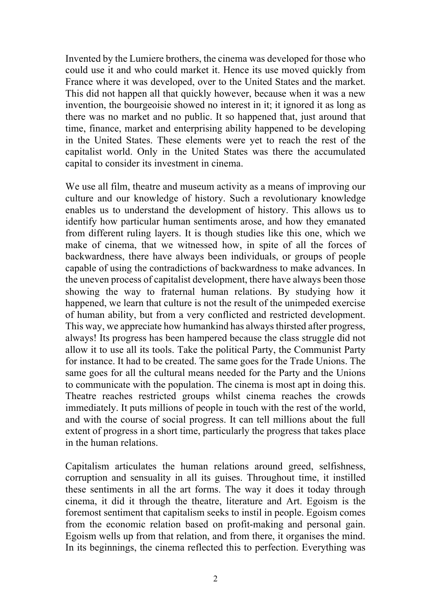Invented by the Lumiere brothers, the cinema was developed for those who could use it and who could market it. Hence its use moved quickly from France where it was developed, over to the United States and the market. This did not happen all that quickly however, because when it was a new invention, the bourgeoisie showed no interest in it; it ignored it as long as there was no market and no public. It so happened that, just around that time, finance, market and enterprising ability happened to be developing in the United States. These elements were yet to reach the rest of the capitalist world. Only in the United States was there the accumulated capital to consider its investment in cinema.

We use all film, theatre and museum activity as a means of improving our culture and our knowledge of history. Such a revolutionary knowledge enables us to understand the development of history. This allows us to identify how particular human sentiments arose, and how they emanated from different ruling layers. It is though studies like this one, which we make of cinema, that we witnessed how, in spite of all the forces of backwardness, there have always been individuals, or groups of people capable of using the contradictions of backwardness to make advances. In the uneven process of capitalist development, there have always been those showing the way to fraternal human relations. By studying how it happened, we learn that culture is not the result of the unimpeded exercise of human ability, but from a very conflicted and restricted development. This way, we appreciate how humankind has always thirsted after progress, always! Its progress has been hampered because the class struggle did not allow it to use all its tools. Take the political Party, the Communist Party for instance. It had to be created. The same goes for the Trade Unions. The same goes for all the cultural means needed for the Party and the Unions to communicate with the population. The cinema is most apt in doing this. Theatre reaches restricted groups whilst cinema reaches the crowds immediately. It puts millions of people in touch with the rest of the world, and with the course of social progress. It can tell millions about the full extent of progress in a short time, particularly the progress that takes place in the human relations.

Capitalism articulates the human relations around greed, selfishness, corruption and sensuality in all its guises. Throughout time, it instilled these sentiments in all the art forms. The way it does it today through cinema, it did it through the theatre, literature and Art. Egoism is the foremost sentiment that capitalism seeks to instil in people. Egoism comes from the economic relation based on profit-making and personal gain. Egoism wells up from that relation, and from there, it organises the mind. In its beginnings, the cinema reflected this to perfection. Everything was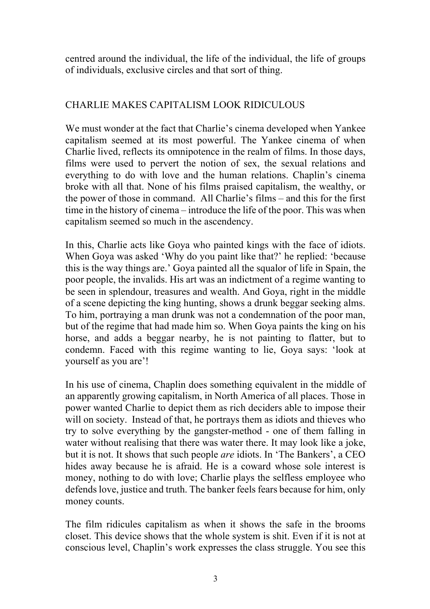centred around the individual, the life of the individual, the life of groups of individuals, exclusive circles and that sort of thing.

## CHARLIE MAKES CAPITALISM LOOK RIDICULOUS

We must wonder at the fact that Charlie's cinema developed when Yankee capitalism seemed at its most powerful. The Yankee cinema of when Charlie lived, reflects its omnipotence in the realm of films. In those days, films were used to pervert the notion of sex, the sexual relations and everything to do with love and the human relations. Chaplin's cinema broke with all that. None of his films praised capitalism, the wealthy, or the power of those in command. All Charlie's films – and this for the first time in the history of cinema – introduce the life of the poor. This was when capitalism seemed so much in the ascendency.

In this, Charlie acts like Goya who painted kings with the face of idiots. When Goya was asked 'Why do you paint like that?' he replied: 'because this is the way things are.' Goya painted all the squalor of life in Spain, the poor people, the invalids. His art was an indictment of a regime wanting to be seen in splendour, treasures and wealth. And Goya, right in the middle of a scene depicting the king hunting, shows a drunk beggar seeking alms. To him, portraying a man drunk was not a condemnation of the poor man, but of the regime that had made him so. When Goya paints the king on his horse, and adds a beggar nearby, he is not painting to flatter, but to condemn. Faced with this regime wanting to lie, Goya says: 'look at yourself as you are'!

In his use of cinema, Chaplin does something equivalent in the middle of an apparently growing capitalism, in North America of all places. Those in power wanted Charlie to depict them as rich deciders able to impose their will on society. Instead of that, he portrays them as idiots and thieves who try to solve everything by the gangster-method - one of them falling in water without realising that there was water there. It may look like a joke, but it is not. It shows that such people *are* idiots. In 'The Bankers', a CEO hides away because he is afraid. He is a coward whose sole interest is money, nothing to do with love; Charlie plays the selfless employee who defends love, justice and truth. The banker feels fears because for him, only money counts.

The film ridicules capitalism as when it shows the safe in the brooms closet. This device shows that the whole system is shit. Even if it is not at conscious level, Chaplin's work expresses the class struggle. You see this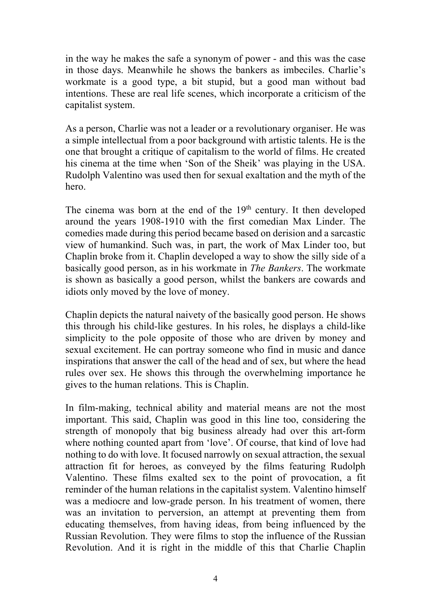in the way he makes the safe a synonym of power - and this was the case in those days. Meanwhile he shows the bankers as imbeciles. Charlie's workmate is a good type, a bit stupid, but a good man without bad intentions. These are real life scenes, which incorporate a criticism of the capitalist system.

As a person, Charlie was not a leader or a revolutionary organiser. He was a simple intellectual from a poor background with artistic talents. He is the one that brought a critique of capitalism to the world of films. He created his cinema at the time when 'Son of the Sheik' was playing in the USA. Rudolph Valentino was used then for sexual exaltation and the myth of the hero.

The cinema was born at the end of the  $19<sup>th</sup>$  century. It then developed around the years 1908-1910 with the first comedian Max Linder. The comedies made during this period became based on derision and a sarcastic view of humankind. Such was, in part, the work of Max Linder too, but Chaplin broke from it. Chaplin developed a way to show the silly side of a basically good person, as in his workmate in *The Bankers*. The workmate is shown as basically a good person, whilst the bankers are cowards and idiots only moved by the love of money.

Chaplin depicts the natural naivety of the basically good person. He shows this through his child-like gestures. In his roles, he displays a child-like simplicity to the pole opposite of those who are driven by money and sexual excitement. He can portray someone who find in music and dance inspirations that answer the call of the head and of sex, but where the head rules over sex. He shows this through the overwhelming importance he gives to the human relations. This is Chaplin.

In film-making, technical ability and material means are not the most important. This said, Chaplin was good in this line too, considering the strength of monopoly that big business already had over this art-form where nothing counted apart from 'love'. Of course, that kind of love had nothing to do with love. It focused narrowly on sexual attraction, the sexual attraction fit for heroes, as conveyed by the films featuring Rudolph Valentino. These films exalted sex to the point of provocation, a fit reminder of the human relations in the capitalist system. Valentino himself was a mediocre and low-grade person. In his treatment of women, there was an invitation to perversion, an attempt at preventing them from educating themselves, from having ideas, from being influenced by the Russian Revolution. They were films to stop the influence of the Russian Revolution. And it is right in the middle of this that Charlie Chaplin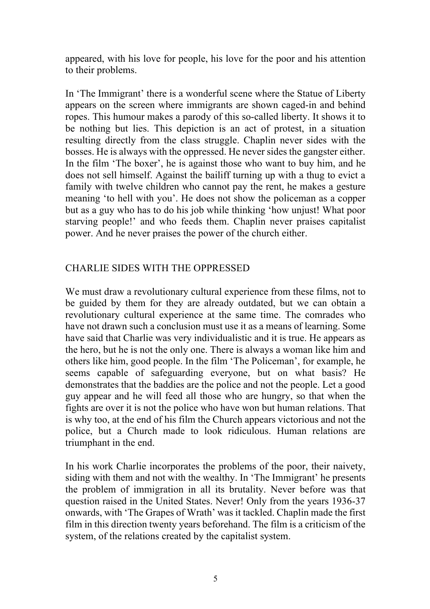appeared, with his love for people, his love for the poor and his attention to their problems.

In 'The Immigrant' there is a wonderful scene where the Statue of Liberty appears on the screen where immigrants are shown caged-in and behind ropes. This humour makes a parody of this so-called liberty. It shows it to be nothing but lies. This depiction is an act of protest, in a situation resulting directly from the class struggle. Chaplin never sides with the bosses. He is always with the oppressed. He never sides the gangster either. In the film 'The boxer', he is against those who want to buy him, and he does not sell himself. Against the bailiff turning up with a thug to evict a family with twelve children who cannot pay the rent, he makes a gesture meaning 'to hell with you'. He does not show the policeman as a copper but as a guy who has to do his job while thinking 'how unjust! What poor starving people!' and who feeds them. Chaplin never praises capitalist power. And he never praises the power of the church either.

## CHARLIE SIDES WITH THE OPPRESSED

We must draw a revolutionary cultural experience from these films, not to be guided by them for they are already outdated, but we can obtain a revolutionary cultural experience at the same time. The comrades who have not drawn such a conclusion must use it as a means of learning. Some have said that Charlie was very individualistic and it is true. He appears as the hero, but he is not the only one. There is always a woman like him and others like him, good people. In the film 'The Policeman', for example, he seems capable of safeguarding everyone, but on what basis? He demonstrates that the baddies are the police and not the people. Let a good guy appear and he will feed all those who are hungry, so that when the fights are over it is not the police who have won but human relations. That is why too, at the end of his film the Church appears victorious and not the police, but a Church made to look ridiculous. Human relations are triumphant in the end.

In his work Charlie incorporates the problems of the poor, their naivety, siding with them and not with the wealthy. In 'The Immigrant' he presents the problem of immigration in all its brutality. Never before was that question raised in the United States. Never! Only from the years 1936-37 onwards, with 'The Grapes of Wrath' was it tackled. Chaplin made the first film in this direction twenty years beforehand. The film is a criticism of the system, of the relations created by the capitalist system.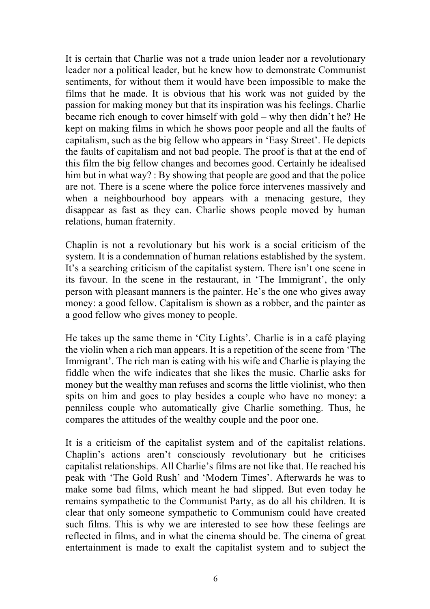It is certain that Charlie was not a trade union leader nor a revolutionary leader nor a political leader, but he knew how to demonstrate Communist sentiments, for without them it would have been impossible to make the films that he made. It is obvious that his work was not guided by the passion for making money but that its inspiration was his feelings. Charlie became rich enough to cover himself with gold – why then didn't he? He kept on making films in which he shows poor people and all the faults of capitalism, such as the big fellow who appears in 'Easy Street'. He depicts the faults of capitalism and not bad people. The proof is that at the end of this film the big fellow changes and becomes good. Certainly he idealised him but in what way? : By showing that people are good and that the police are not. There is a scene where the police force intervenes massively and when a neighbourhood boy appears with a menacing gesture, they disappear as fast as they can. Charlie shows people moved by human relations, human fraternity.

Chaplin is not a revolutionary but his work is a social criticism of the system. It is a condemnation of human relations established by the system. It's a searching criticism of the capitalist system. There isn't one scene in its favour. In the scene in the restaurant, in 'The Immigrant', the only person with pleasant manners is the painter. He's the one who gives away money: a good fellow. Capitalism is shown as a robber, and the painter as a good fellow who gives money to people.

He takes up the same theme in 'City Lights'. Charlie is in a café playing the violin when a rich man appears. It is a repetition of the scene from 'The Immigrant'. The rich man is eating with his wife and Charlie is playing the fiddle when the wife indicates that she likes the music. Charlie asks for money but the wealthy man refuses and scorns the little violinist, who then spits on him and goes to play besides a couple who have no money: a penniless couple who automatically give Charlie something. Thus, he compares the attitudes of the wealthy couple and the poor one.

It is a criticism of the capitalist system and of the capitalist relations. Chaplin's actions aren't consciously revolutionary but he criticises capitalist relationships. All Charlie's films are not like that. He reached his peak with 'The Gold Rush' and 'Modern Times'. Afterwards he was to make some bad films, which meant he had slipped. But even today he remains sympathetic to the Communist Party, as do all his children. It is clear that only someone sympathetic to Communism could have created such films. This is why we are interested to see how these feelings are reflected in films, and in what the cinema should be. The cinema of great entertainment is made to exalt the capitalist system and to subject the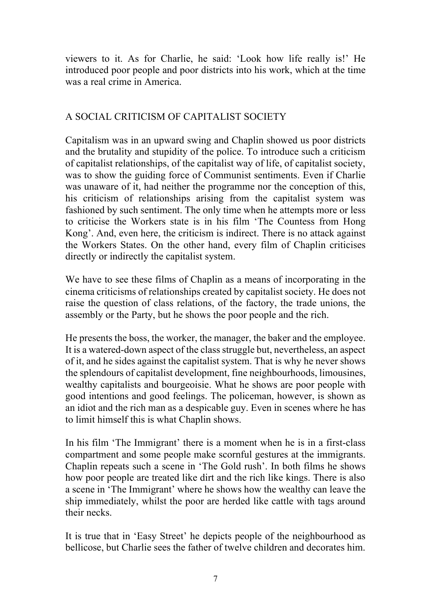viewers to it. As for Charlie, he said: 'Look how life really is!' He introduced poor people and poor districts into his work, which at the time was a real crime in America.

## A SOCIAL CRITICISM OF CAPITALIST SOCIETY

Capitalism was in an upward swing and Chaplin showed us poor districts and the brutality and stupidity of the police. To introduce such a criticism of capitalist relationships, of the capitalist way of life, of capitalist society, was to show the guiding force of Communist sentiments. Even if Charlie was unaware of it, had neither the programme nor the conception of this, his criticism of relationships arising from the capitalist system was fashioned by such sentiment. The only time when he attempts more or less to criticise the Workers state is in his film 'The Countess from Hong Kong'. And, even here, the criticism is indirect. There is no attack against the Workers States. On the other hand, every film of Chaplin criticises directly or indirectly the capitalist system.

We have to see these films of Chaplin as a means of incorporating in the cinema criticisms of relationships created by capitalist society. He does not raise the question of class relations, of the factory, the trade unions, the assembly or the Party, but he shows the poor people and the rich.

He presents the boss, the worker, the manager, the baker and the employee. It is a watered-down aspect of the class struggle but, nevertheless, an aspect of it, and he sides against the capitalist system. That is why he never shows the splendours of capitalist development, fine neighbourhoods, limousines, wealthy capitalists and bourgeoisie. What he shows are poor people with good intentions and good feelings. The policeman, however, is shown as an idiot and the rich man as a despicable guy. Even in scenes where he has to limit himself this is what Chaplin shows.

In his film 'The Immigrant' there is a moment when he is in a first-class compartment and some people make scornful gestures at the immigrants. Chaplin repeats such a scene in 'The Gold rush'. In both films he shows how poor people are treated like dirt and the rich like kings. There is also a scene in 'The Immigrant' where he shows how the wealthy can leave the ship immediately, whilst the poor are herded like cattle with tags around their necks.

It is true that in 'Easy Street' he depicts people of the neighbourhood as bellicose, but Charlie sees the father of twelve children and decorates him.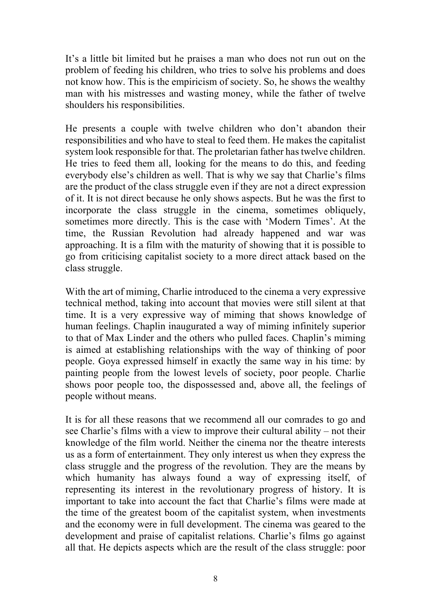It's a little bit limited but he praises a man who does not run out on the problem of feeding his children, who tries to solve his problems and does not know how. This is the empiricism of society. So, he shows the wealthy man with his mistresses and wasting money, while the father of twelve shoulders his responsibilities.

He presents a couple with twelve children who don't abandon their responsibilities and who have to steal to feed them. He makes the capitalist system look responsible for that. The proletarian father has twelve children. He tries to feed them all, looking for the means to do this, and feeding everybody else's children as well. That is why we say that Charlie's films are the product of the class struggle even if they are not a direct expression of it. It is not direct because he only shows aspects. But he was the first to incorporate the class struggle in the cinema, sometimes obliquely, sometimes more directly. This is the case with 'Modern Times'. At the time, the Russian Revolution had already happened and war was approaching. It is a film with the maturity of showing that it is possible to go from criticising capitalist society to a more direct attack based on the class struggle.

With the art of miming, Charlie introduced to the cinema a very expressive technical method, taking into account that movies were still silent at that time. It is a very expressive way of miming that shows knowledge of human feelings. Chaplin inaugurated a way of miming infinitely superior to that of Max Linder and the others who pulled faces. Chaplin's miming is aimed at establishing relationships with the way of thinking of poor people. Goya expressed himself in exactly the same way in his time: by painting people from the lowest levels of society, poor people. Charlie shows poor people too, the dispossessed and, above all, the feelings of people without means.

It is for all these reasons that we recommend all our comrades to go and see Charlie's films with a view to improve their cultural ability – not their knowledge of the film world. Neither the cinema nor the theatre interests us as a form of entertainment. They only interest us when they express the class struggle and the progress of the revolution. They are the means by which humanity has always found a way of expressing itself, of representing its interest in the revolutionary progress of history. It is important to take into account the fact that Charlie's films were made at the time of the greatest boom of the capitalist system, when investments and the economy were in full development. The cinema was geared to the development and praise of capitalist relations. Charlie's films go against all that. He depicts aspects which are the result of the class struggle: poor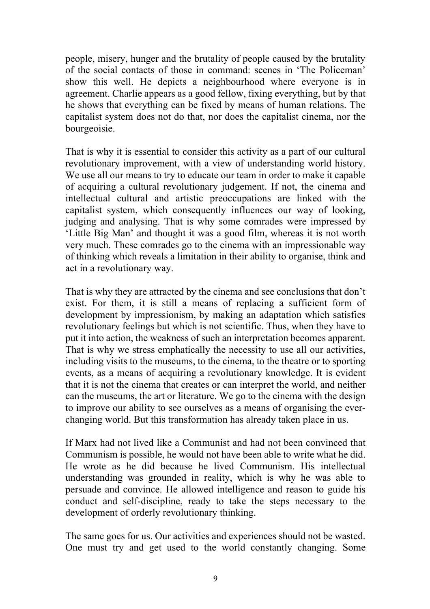people, misery, hunger and the brutality of people caused by the brutality of the social contacts of those in command: scenes in 'The Policeman' show this well. He depicts a neighbourhood where everyone is in agreement. Charlie appears as a good fellow, fixing everything, but by that he shows that everything can be fixed by means of human relations. The capitalist system does not do that, nor does the capitalist cinema, nor the bourgeoisie.

That is why it is essential to consider this activity as a part of our cultural revolutionary improvement, with a view of understanding world history. We use all our means to try to educate our team in order to make it capable of acquiring a cultural revolutionary judgement. If not, the cinema and intellectual cultural and artistic preoccupations are linked with the capitalist system, which consequently influences our way of looking, judging and analysing. That is why some comrades were impressed by 'Little Big Man' and thought it was a good film, whereas it is not worth very much. These comrades go to the cinema with an impressionable way of thinking which reveals a limitation in their ability to organise, think and act in a revolutionary way.

That is why they are attracted by the cinema and see conclusions that don't exist. For them, it is still a means of replacing a sufficient form of development by impressionism, by making an adaptation which satisfies revolutionary feelings but which is not scientific. Thus, when they have to put it into action, the weakness of such an interpretation becomes apparent. That is why we stress emphatically the necessity to use all our activities, including visits to the museums, to the cinema, to the theatre or to sporting events, as a means of acquiring a revolutionary knowledge. It is evident that it is not the cinema that creates or can interpret the world, and neither can the museums, the art or literature. We go to the cinema with the design to improve our ability to see ourselves as a means of organising the everchanging world. But this transformation has already taken place in us.

If Marx had not lived like a Communist and had not been convinced that Communism is possible, he would not have been able to write what he did. He wrote as he did because he lived Communism. His intellectual understanding was grounded in reality, which is why he was able to persuade and convince. He allowed intelligence and reason to guide his conduct and self-discipline, ready to take the steps necessary to the development of orderly revolutionary thinking.

The same goes for us. Our activities and experiences should not be wasted. One must try and get used to the world constantly changing. Some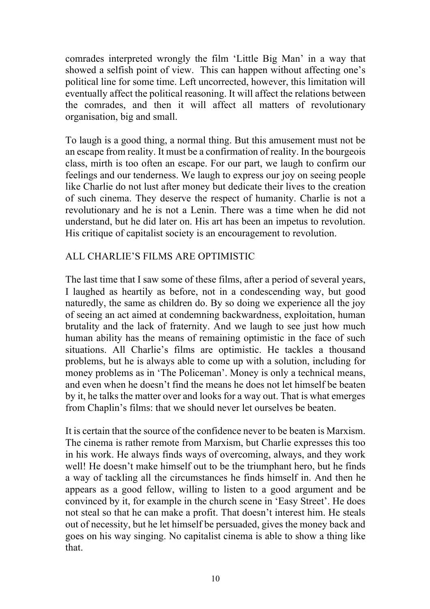comrades interpreted wrongly the film 'Little Big Man' in a way that showed a selfish point of view. This can happen without affecting one's political line for some time. Left uncorrected, however, this limitation will eventually affect the political reasoning. It will affect the relations between the comrades, and then it will affect all matters of revolutionary organisation, big and small.

To laugh is a good thing, a normal thing. But this amusement must not be an escape from reality. It must be a confirmation of reality. In the bourgeois class, mirth is too often an escape. For our part, we laugh to confirm our feelings and our tenderness. We laugh to express our joy on seeing people like Charlie do not lust after money but dedicate their lives to the creation of such cinema. They deserve the respect of humanity. Charlie is not a revolutionary and he is not a Lenin. There was a time when he did not understand, but he did later on. His art has been an impetus to revolution. His critique of capitalist society is an encouragement to revolution.

## ALL CHARLIE'S FILMS ARE OPTIMISTIC

The last time that I saw some of these films, after a period of several years, I laughed as heartily as before, not in a condescending way, but good naturedly, the same as children do. By so doing we experience all the joy of seeing an act aimed at condemning backwardness, exploitation, human brutality and the lack of fraternity. And we laugh to see just how much human ability has the means of remaining optimistic in the face of such situations. All Charlie's films are optimistic. He tackles a thousand problems, but he is always able to come up with a solution, including for money problems as in 'The Policeman'. Money is only a technical means, and even when he doesn't find the means he does not let himself be beaten by it, he talks the matter over and looks for a way out. That is what emerges from Chaplin's films: that we should never let ourselves be beaten.

It is certain that the source of the confidence never to be beaten is Marxism. The cinema is rather remote from Marxism, but Charlie expresses this too in his work. He always finds ways of overcoming, always, and they work well! He doesn't make himself out to be the triumphant hero, but he finds a way of tackling all the circumstances he finds himself in. And then he appears as a good fellow, willing to listen to a good argument and be convinced by it, for example in the church scene in 'Easy Street'. He does not steal so that he can make a profit. That doesn't interest him. He steals out of necessity, but he let himself be persuaded, gives the money back and goes on his way singing. No capitalist cinema is able to show a thing like that.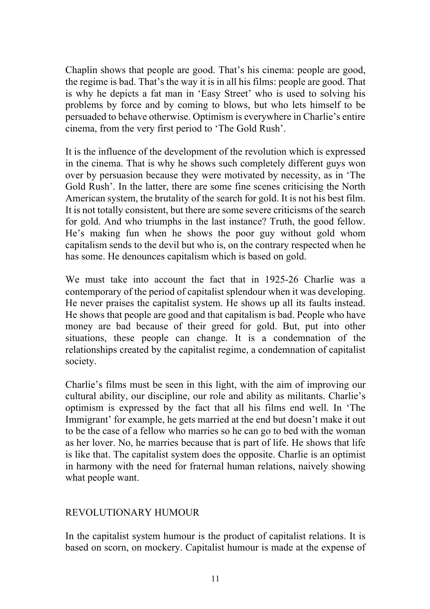Chaplin shows that people are good. That's his cinema: people are good, the regime is bad. That's the way it is in all his films: people are good. That is why he depicts a fat man in 'Easy Street' who is used to solving his problems by force and by coming to blows, but who lets himself to be persuaded to behave otherwise. Optimism is everywhere in Charlie's entire cinema, from the very first period to 'The Gold Rush'.

It is the influence of the development of the revolution which is expressed in the cinema. That is why he shows such completely different guys won over by persuasion because they were motivated by necessity, as in 'The Gold Rush'. In the latter, there are some fine scenes criticising the North American system, the brutality of the search for gold. It is not his best film. It is not totally consistent, but there are some severe criticisms of the search for gold. And who triumphs in the last instance? Truth, the good fellow. He's making fun when he shows the poor guy without gold whom capitalism sends to the devil but who is, on the contrary respected when he has some. He denounces capitalism which is based on gold.

We must take into account the fact that in 1925-26 Charlie was a contemporary of the period of capitalist splendour when it was developing. He never praises the capitalist system. He shows up all its faults instead. He shows that people are good and that capitalism is bad. People who have money are bad because of their greed for gold. But, put into other situations, these people can change. It is a condemnation of the relationships created by the capitalist regime, a condemnation of capitalist society.

Charlie's films must be seen in this light, with the aim of improving our cultural ability, our discipline, our role and ability as militants. Charlie's optimism is expressed by the fact that all his films end well. In 'The Immigrant' for example, he gets married at the end but doesn't make it out to be the case of a fellow who marries so he can go to bed with the woman as her lover. No, he marries because that is part of life. He shows that life is like that. The capitalist system does the opposite. Charlie is an optimist in harmony with the need for fraternal human relations, naively showing what people want.

## REVOLUTIONARY HUMOUR

In the capitalist system humour is the product of capitalist relations. It is based on scorn, on mockery. Capitalist humour is made at the expense of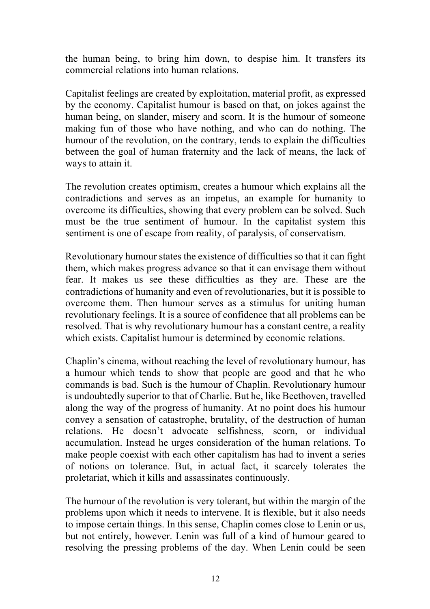the human being, to bring him down, to despise him. It transfers its commercial relations into human relations.

Capitalist feelings are created by exploitation, material profit, as expressed by the economy. Capitalist humour is based on that, on jokes against the human being, on slander, misery and scorn. It is the humour of someone making fun of those who have nothing, and who can do nothing. The humour of the revolution, on the contrary, tends to explain the difficulties between the goal of human fraternity and the lack of means, the lack of ways to attain it.

The revolution creates optimism, creates a humour which explains all the contradictions and serves as an impetus, an example for humanity to overcome its difficulties, showing that every problem can be solved. Such must be the true sentiment of humour. In the capitalist system this sentiment is one of escape from reality, of paralysis, of conservatism.

Revolutionary humour states the existence of difficulties so that it can fight them, which makes progress advance so that it can envisage them without fear. It makes us see these difficulties as they are. These are the contradictions of humanity and even of revolutionaries, but it is possible to overcome them. Then humour serves as a stimulus for uniting human revolutionary feelings. It is a source of confidence that all problems can be resolved. That is why revolutionary humour has a constant centre, a reality which exists. Capitalist humour is determined by economic relations.

Chaplin's cinema, without reaching the level of revolutionary humour, has a humour which tends to show that people are good and that he who commands is bad. Such is the humour of Chaplin. Revolutionary humour is undoubtedly superior to that of Charlie. But he, like Beethoven, travelled along the way of the progress of humanity. At no point does his humour convey a sensation of catastrophe, brutality, of the destruction of human relations. He doesn't advocate selfishness, scorn, or individual accumulation. Instead he urges consideration of the human relations. To make people coexist with each other capitalism has had to invent a series of notions on tolerance. But, in actual fact, it scarcely tolerates the proletariat, which it kills and assassinates continuously.

The humour of the revolution is very tolerant, but within the margin of the problems upon which it needs to intervene. It is flexible, but it also needs to impose certain things. In this sense, Chaplin comes close to Lenin or us, but not entirely, however. Lenin was full of a kind of humour geared to resolving the pressing problems of the day. When Lenin could be seen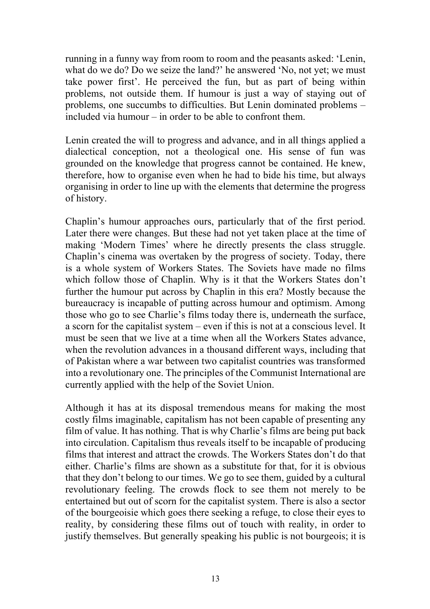running in a funny way from room to room and the peasants asked: 'Lenin, what do we do? Do we seize the land?' he answered 'No, not yet; we must take power first'. He perceived the fun, but as part of being within problems, not outside them. If humour is just a way of staying out of problems, one succumbs to difficulties. But Lenin dominated problems – included via humour – in order to be able to confront them.

Lenin created the will to progress and advance, and in all things applied a dialectical conception, not a theological one. His sense of fun was grounded on the knowledge that progress cannot be contained. He knew, therefore, how to organise even when he had to bide his time, but always organising in order to line up with the elements that determine the progress of history.

Chaplin's humour approaches ours, particularly that of the first period. Later there were changes. But these had not yet taken place at the time of making 'Modern Times' where he directly presents the class struggle. Chaplin's cinema was overtaken by the progress of society. Today, there is a whole system of Workers States. The Soviets have made no films which follow those of Chaplin. Why is it that the Workers States don't further the humour put across by Chaplin in this era? Mostly because the bureaucracy is incapable of putting across humour and optimism. Among those who go to see Charlie's films today there is, underneath the surface, a scorn for the capitalist system – even if this is not at a conscious level. It must be seen that we live at a time when all the Workers States advance, when the revolution advances in a thousand different ways, including that of Pakistan where a war between two capitalist countries was transformed into a revolutionary one. The principles of the Communist International are currently applied with the help of the Soviet Union.

Although it has at its disposal tremendous means for making the most costly films imaginable, capitalism has not been capable of presenting any film of value. It has nothing. That is why Charlie's films are being put back into circulation. Capitalism thus reveals itself to be incapable of producing films that interest and attract the crowds. The Workers States don't do that either. Charlie's films are shown as a substitute for that, for it is obvious that they don't belong to our times. We go to see them, guided by a cultural revolutionary feeling. The crowds flock to see them not merely to be entertained but out of scorn for the capitalist system. There is also a sector of the bourgeoisie which goes there seeking a refuge, to close their eyes to reality, by considering these films out of touch with reality, in order to justify themselves. But generally speaking his public is not bourgeois; it is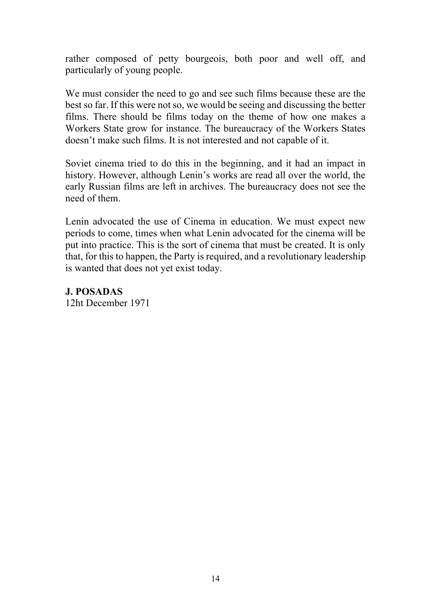rather composed of petty bourgeois, both poor and well off, and particularly of young people.

We must consider the need to go and see such films because these are the best so far. If this were not so, we would be seeing and discussing the better films. There should be films today on the theme of how one makes a Workers State grow for instance. The bureaucracy of the Workers States doesn't make such films. It is not interested and not capable of it.

Soviet cinema tried to do this in the beginning, and it had an impact in history. However, although Lenin's works are read all over the world, the early Russian films are left in archives. The bureaucracy does not see the need of them.

Lenin advocated the use of Cinema in education. We must expect new periods to come, times when what Lenin advocated for the cinema will be put into practice. This is the sort of cinema that must be created. It is only that, for this to happen, the Party is required, and a revolutionary leadership is wanted that does not yet exist today.

**J. POSADAS**  12ht December 1971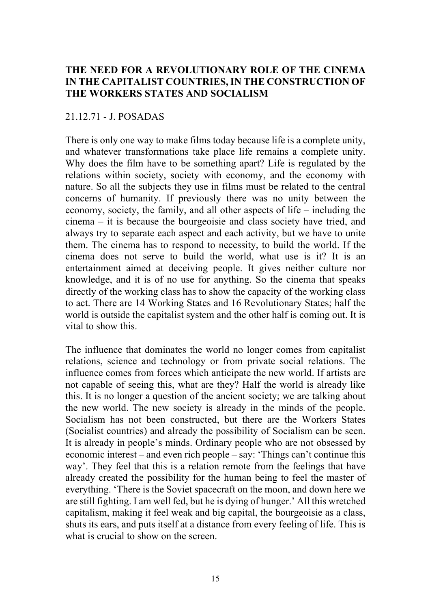## **THE NEED FOR A REVOLUTIONARY ROLE OF THE CINEMA IN THE CAPITALIST COUNTRIES, IN THE CONSTRUCTION OF THE WORKERS STATES AND SOCIALISM**

#### 21.12.71 - J. POSADAS

There is only one way to make films today because life is a complete unity, and whatever transformations take place life remains a complete unity. Why does the film have to be something apart? Life is regulated by the relations within society, society with economy, and the economy with nature. So all the subjects they use in films must be related to the central concerns of humanity. If previously there was no unity between the economy, society, the family, and all other aspects of life – including the cinema – it is because the bourgeoisie and class society have tried, and always try to separate each aspect and each activity, but we have to unite them. The cinema has to respond to necessity, to build the world. If the cinema does not serve to build the world, what use is it? It is an entertainment aimed at deceiving people. It gives neither culture nor knowledge, and it is of no use for anything. So the cinema that speaks directly of the working class has to show the capacity of the working class to act. There are 14 Working States and 16 Revolutionary States; half the world is outside the capitalist system and the other half is coming out. It is vital to show this.

The influence that dominates the world no longer comes from capitalist relations, science and technology or from private social relations. The influence comes from forces which anticipate the new world. If artists are not capable of seeing this, what are they? Half the world is already like this. It is no longer a question of the ancient society; we are talking about the new world. The new society is already in the minds of the people. Socialism has not been constructed, but there are the Workers States (Socialist countries) and already the possibility of Socialism can be seen. It is already in people's minds. Ordinary people who are not obsessed by economic interest – and even rich people – say: 'Things can't continue this way'. They feel that this is a relation remote from the feelings that have already created the possibility for the human being to feel the master of everything. 'There is the Soviet spacecraft on the moon, and down here we are still fighting. I am well fed, but he is dying of hunger.' All this wretched capitalism, making it feel weak and big capital, the bourgeoisie as a class, shuts its ears, and puts itself at a distance from every feeling of life. This is what is crucial to show on the screen.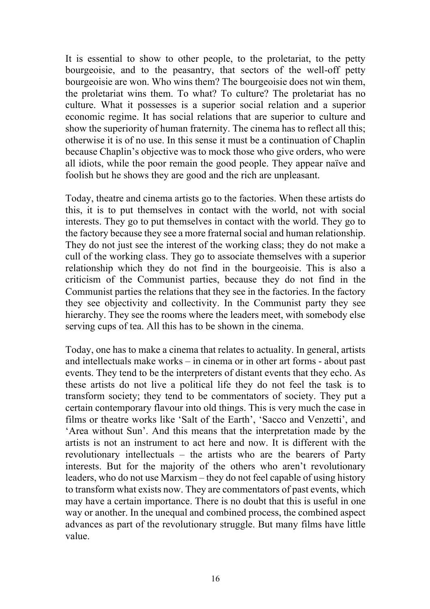It is essential to show to other people, to the proletariat, to the petty bourgeoisie, and to the peasantry, that sectors of the well-off petty bourgeoisie are won. Who wins them? The bourgeoisie does not win them, the proletariat wins them. To what? To culture? The proletariat has no culture. What it possesses is a superior social relation and a superior economic regime. It has social relations that are superior to culture and show the superiority of human fraternity. The cinema has to reflect all this; otherwise it is of no use. In this sense it must be a continuation of Chaplin because Chaplin's objective was to mock those who give orders, who were all idiots, while the poor remain the good people. They appear naïve and foolish but he shows they are good and the rich are unpleasant.

Today, theatre and cinema artists go to the factories. When these artists do this, it is to put themselves in contact with the world, not with social interests. They go to put themselves in contact with the world. They go to the factory because they see a more fraternal social and human relationship. They do not just see the interest of the working class; they do not make a cull of the working class. They go to associate themselves with a superior relationship which they do not find in the bourgeoisie. This is also a criticism of the Communist parties, because they do not find in the Communist parties the relations that they see in the factories. In the factory they see objectivity and collectivity. In the Communist party they see hierarchy. They see the rooms where the leaders meet, with somebody else serving cups of tea. All this has to be shown in the cinema.

Today, one has to make a cinema that relates to actuality. In general, artists and intellectuals make works – in cinema or in other art forms - about past events. They tend to be the interpreters of distant events that they echo. As these artists do not live a political life they do not feel the task is to transform society; they tend to be commentators of society. They put a certain contemporary flavour into old things. This is very much the case in films or theatre works like 'Salt of the Earth', 'Sacco and Venzetti', and 'Area without Sun'. And this means that the interpretation made by the artists is not an instrument to act here and now. It is different with the revolutionary intellectuals – the artists who are the bearers of Party interests. But for the majority of the others who aren't revolutionary leaders, who do not use Marxism – they do not feel capable of using history to transform what exists now. They are commentators of past events, which may have a certain importance. There is no doubt that this is useful in one way or another. In the unequal and combined process, the combined aspect advances as part of the revolutionary struggle. But many films have little value.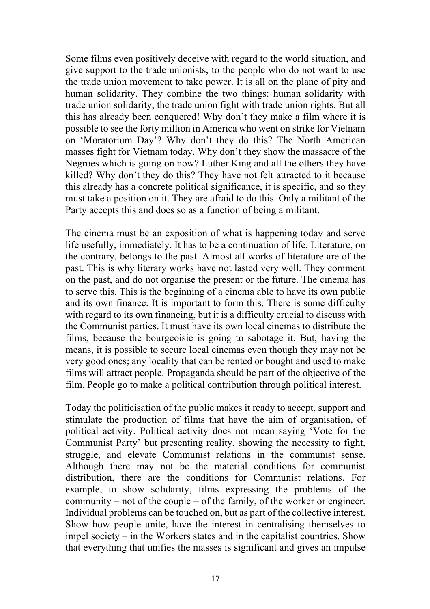Some films even positively deceive with regard to the world situation, and give support to the trade unionists, to the people who do not want to use the trade union movement to take power. It is all on the plane of pity and human solidarity. They combine the two things: human solidarity with trade union solidarity, the trade union fight with trade union rights. But all this has already been conquered! Why don't they make a film where it is possible to see the forty million in America who went on strike for Vietnam on 'Moratorium Day'? Why don't they do this? The North American masses fight for Vietnam today. Why don't they show the massacre of the Negroes which is going on now? Luther King and all the others they have killed? Why don't they do this? They have not felt attracted to it because this already has a concrete political significance, it is specific, and so they must take a position on it. They are afraid to do this. Only a militant of the Party accepts this and does so as a function of being a militant.

The cinema must be an exposition of what is happening today and serve life usefully, immediately. It has to be a continuation of life. Literature, on the contrary, belongs to the past. Almost all works of literature are of the past. This is why literary works have not lasted very well. They comment on the past, and do not organise the present or the future. The cinema has to serve this. This is the beginning of a cinema able to have its own public and its own finance. It is important to form this. There is some difficulty with regard to its own financing, but it is a difficulty crucial to discuss with the Communist parties. It must have its own local cinemas to distribute the films, because the bourgeoisie is going to sabotage it. But, having the means, it is possible to secure local cinemas even though they may not be very good ones; any locality that can be rented or bought and used to make films will attract people. Propaganda should be part of the objective of the film. People go to make a political contribution through political interest.

Today the politicisation of the public makes it ready to accept, support and stimulate the production of films that have the aim of organisation, of political activity. Political activity does not mean saying 'Vote for the Communist Party' but presenting reality, showing the necessity to fight, struggle, and elevate Communist relations in the communist sense. Although there may not be the material conditions for communist distribution, there are the conditions for Communist relations. For example, to show solidarity, films expressing the problems of the community – not of the couple – of the family, of the worker or engineer. Individual problems can be touched on, but as part of the collective interest. Show how people unite, have the interest in centralising themselves to impel society – in the Workers states and in the capitalist countries. Show that everything that unifies the masses is significant and gives an impulse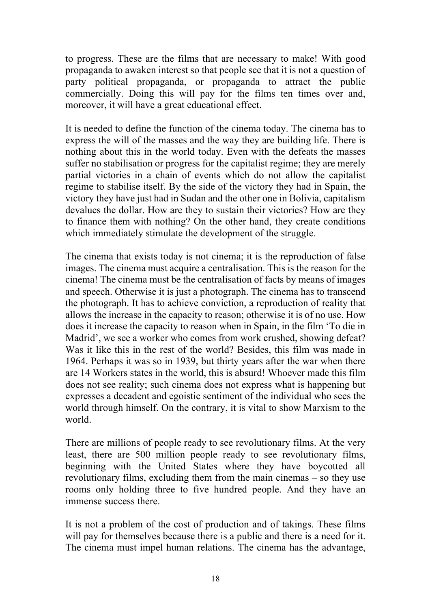to progress. These are the films that are necessary to make! With good propaganda to awaken interest so that people see that it is not a question of party political propaganda, or propaganda to attract the public commercially. Doing this will pay for the films ten times over and, moreover, it will have a great educational effect.

It is needed to define the function of the cinema today. The cinema has to express the will of the masses and the way they are building life. There is nothing about this in the world today. Even with the defeats the masses suffer no stabilisation or progress for the capitalist regime; they are merely partial victories in a chain of events which do not allow the capitalist regime to stabilise itself. By the side of the victory they had in Spain, the victory they have just had in Sudan and the other one in Bolivia, capitalism devalues the dollar. How are they to sustain their victories? How are they to finance them with nothing? On the other hand, they create conditions which immediately stimulate the development of the struggle.

The cinema that exists today is not cinema; it is the reproduction of false images. The cinema must acquire a centralisation. This is the reason for the cinema! The cinema must be the centralisation of facts by means of images and speech. Otherwise it is just a photograph. The cinema has to transcend the photograph. It has to achieve conviction, a reproduction of reality that allows the increase in the capacity to reason; otherwise it is of no use. How does it increase the capacity to reason when in Spain, in the film 'To die in Madrid', we see a worker who comes from work crushed, showing defeat? Was it like this in the rest of the world? Besides, this film was made in 1964. Perhaps it was so in 1939, but thirty years after the war when there are 14 Workers states in the world, this is absurd! Whoever made this film does not see reality; such cinema does not express what is happening but expresses a decadent and egoistic sentiment of the individual who sees the world through himself. On the contrary, it is vital to show Marxism to the world.

There are millions of people ready to see revolutionary films. At the very least, there are 500 million people ready to see revolutionary films, beginning with the United States where they have boycotted all revolutionary films, excluding them from the main cinemas – so they use rooms only holding three to five hundred people. And they have an immense success there.

It is not a problem of the cost of production and of takings. These films will pay for themselves because there is a public and there is a need for it. The cinema must impel human relations. The cinema has the advantage,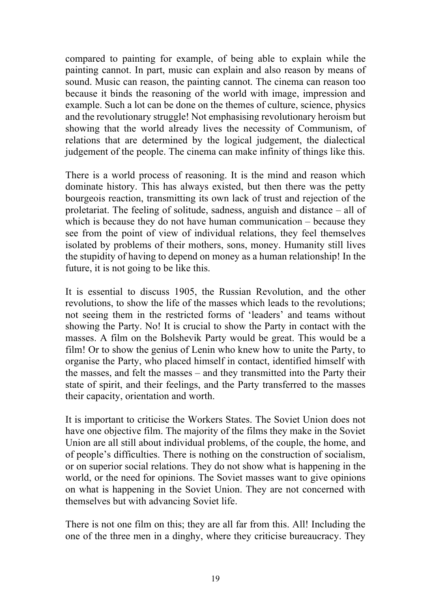compared to painting for example, of being able to explain while the painting cannot. In part, music can explain and also reason by means of sound. Music can reason, the painting cannot. The cinema can reason too because it binds the reasoning of the world with image, impression and example. Such a lot can be done on the themes of culture, science, physics and the revolutionary struggle! Not emphasising revolutionary heroism but showing that the world already lives the necessity of Communism, of relations that are determined by the logical judgement, the dialectical judgement of the people. The cinema can make infinity of things like this.

There is a world process of reasoning. It is the mind and reason which dominate history. This has always existed, but then there was the petty bourgeois reaction, transmitting its own lack of trust and rejection of the proletariat. The feeling of solitude, sadness, anguish and distance – all of which is because they do not have human communication – because they see from the point of view of individual relations, they feel themselves isolated by problems of their mothers, sons, money. Humanity still lives the stupidity of having to depend on money as a human relationship! In the future, it is not going to be like this.

It is essential to discuss 1905, the Russian Revolution, and the other revolutions, to show the life of the masses which leads to the revolutions; not seeing them in the restricted forms of 'leaders' and teams without showing the Party. No! It is crucial to show the Party in contact with the masses. A film on the Bolshevik Party would be great. This would be a film! Or to show the genius of Lenin who knew how to unite the Party, to organise the Party, who placed himself in contact, identified himself with the masses, and felt the masses – and they transmitted into the Party their state of spirit, and their feelings, and the Party transferred to the masses their capacity, orientation and worth.

It is important to criticise the Workers States. The Soviet Union does not have one objective film. The majority of the films they make in the Soviet Union are all still about individual problems, of the couple, the home, and of people's difficulties. There is nothing on the construction of socialism, or on superior social relations. They do not show what is happening in the world, or the need for opinions. The Soviet masses want to give opinions on what is happening in the Soviet Union. They are not concerned with themselves but with advancing Soviet life.

There is not one film on this; they are all far from this. All! Including the one of the three men in a dinghy, where they criticise bureaucracy. They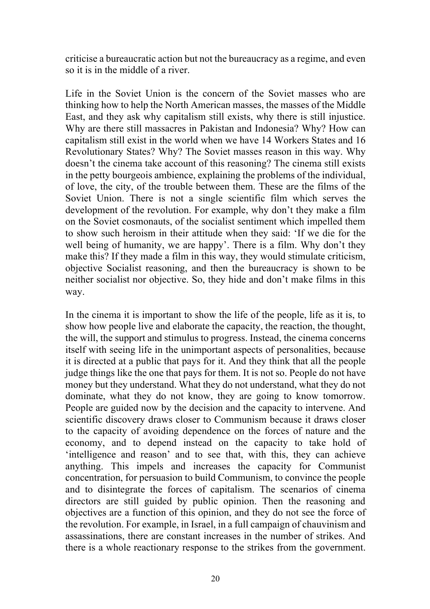criticise a bureaucratic action but not the bureaucracy as a regime, and even so it is in the middle of a river.

Life in the Soviet Union is the concern of the Soviet masses who are thinking how to help the North American masses, the masses of the Middle East, and they ask why capitalism still exists, why there is still injustice. Why are there still massacres in Pakistan and Indonesia? Why? How can capitalism still exist in the world when we have 14 Workers States and 16 Revolutionary States? Why? The Soviet masses reason in this way. Why doesn't the cinema take account of this reasoning? The cinema still exists in the petty bourgeois ambience, explaining the problems of the individual, of love, the city, of the trouble between them. These are the films of the Soviet Union. There is not a single scientific film which serves the development of the revolution. For example, why don't they make a film on the Soviet cosmonauts, of the socialist sentiment which impelled them to show such heroism in their attitude when they said: 'If we die for the well being of humanity, we are happy'. There is a film. Why don't they make this? If they made a film in this way, they would stimulate criticism, objective Socialist reasoning, and then the bureaucracy is shown to be neither socialist nor objective. So, they hide and don't make films in this way.

In the cinema it is important to show the life of the people, life as it is, to show how people live and elaborate the capacity, the reaction, the thought, the will, the support and stimulus to progress. Instead, the cinema concerns itself with seeing life in the unimportant aspects of personalities, because it is directed at a public that pays for it. And they think that all the people judge things like the one that pays for them. It is not so. People do not have money but they understand. What they do not understand, what they do not dominate, what they do not know, they are going to know tomorrow. People are guided now by the decision and the capacity to intervene. And scientific discovery draws closer to Communism because it draws closer to the capacity of avoiding dependence on the forces of nature and the economy, and to depend instead on the capacity to take hold of 'intelligence and reason' and to see that, with this, they can achieve anything. This impels and increases the capacity for Communist concentration, for persuasion to build Communism, to convince the people and to disintegrate the forces of capitalism. The scenarios of cinema directors are still guided by public opinion. Then the reasoning and objectives are a function of this opinion, and they do not see the force of the revolution. For example, in Israel, in a full campaign of chauvinism and assassinations, there are constant increases in the number of strikes. And there is a whole reactionary response to the strikes from the government.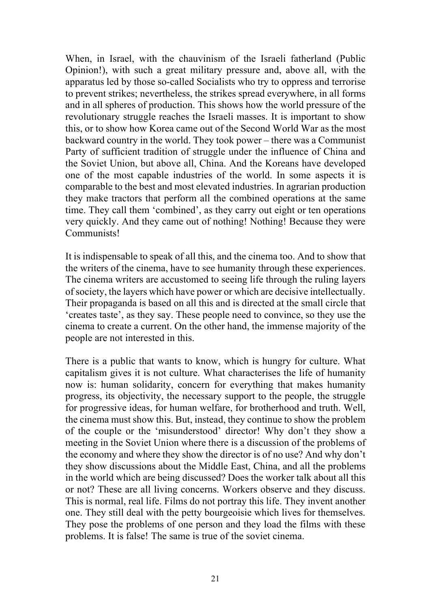When, in Israel, with the chauvinism of the Israeli fatherland (Public Opinion!), with such a great military pressure and, above all, with the apparatus led by those so-called Socialists who try to oppress and terrorise to prevent strikes; nevertheless, the strikes spread everywhere, in all forms and in all spheres of production. This shows how the world pressure of the revolutionary struggle reaches the Israeli masses. It is important to show this, or to show how Korea came out of the Second World War as the most backward country in the world. They took power – there was a Communist Party of sufficient tradition of struggle under the influence of China and the Soviet Union, but above all, China. And the Koreans have developed one of the most capable industries of the world. In some aspects it is comparable to the best and most elevated industries. In agrarian production they make tractors that perform all the combined operations at the same time. They call them 'combined', as they carry out eight or ten operations very quickly. And they came out of nothing! Nothing! Because they were Communists!

It is indispensable to speak of all this, and the cinema too. And to show that the writers of the cinema, have to see humanity through these experiences. The cinema writers are accustomed to seeing life through the ruling layers of society, the layers which have power or which are decisive intellectually. Their propaganda is based on all this and is directed at the small circle that 'creates taste', as they say. These people need to convince, so they use the cinema to create a current. On the other hand, the immense majority of the people are not interested in this.

There is a public that wants to know, which is hungry for culture. What capitalism gives it is not culture. What characterises the life of humanity now is: human solidarity, concern for everything that makes humanity progress, its objectivity, the necessary support to the people, the struggle for progressive ideas, for human welfare, for brotherhood and truth. Well, the cinema must show this. But, instead, they continue to show the problem of the couple or the 'misunderstood' director! Why don't they show a meeting in the Soviet Union where there is a discussion of the problems of the economy and where they show the director is of no use? And why don't they show discussions about the Middle East, China, and all the problems in the world which are being discussed? Does the worker talk about all this or not? These are all living concerns. Workers observe and they discuss. This is normal, real life. Films do not portray this life. They invent another one. They still deal with the petty bourgeoisie which lives for themselves. They pose the problems of one person and they load the films with these problems. It is false! The same is true of the soviet cinema.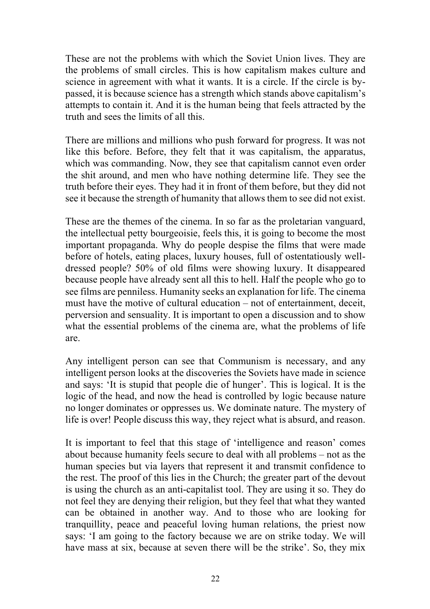These are not the problems with which the Soviet Union lives. They are the problems of small circles. This is how capitalism makes culture and science in agreement with what it wants. It is a circle. If the circle is bypassed, it is because science has a strength which stands above capitalism's attempts to contain it. And it is the human being that feels attracted by the truth and sees the limits of all this.

There are millions and millions who push forward for progress. It was not like this before. Before, they felt that it was capitalism, the apparatus, which was commanding. Now, they see that capitalism cannot even order the shit around, and men who have nothing determine life. They see the truth before their eyes. They had it in front of them before, but they did not see it because the strength of humanity that allows them to see did not exist.

These are the themes of the cinema. In so far as the proletarian vanguard, the intellectual petty bourgeoisie, feels this, it is going to become the most important propaganda. Why do people despise the films that were made before of hotels, eating places, luxury houses, full of ostentatiously welldressed people? 50% of old films were showing luxury. It disappeared because people have already sent all this to hell. Half the people who go to see films are penniless. Humanity seeks an explanation for life. The cinema must have the motive of cultural education – not of entertainment, deceit, perversion and sensuality. It is important to open a discussion and to show what the essential problems of the cinema are, what the problems of life are.

Any intelligent person can see that Communism is necessary, and any intelligent person looks at the discoveries the Soviets have made in science and says: 'It is stupid that people die of hunger'. This is logical. It is the logic of the head, and now the head is controlled by logic because nature no longer dominates or oppresses us. We dominate nature. The mystery of life is over! People discuss this way, they reject what is absurd, and reason.

It is important to feel that this stage of 'intelligence and reason' comes about because humanity feels secure to deal with all problems – not as the human species but via layers that represent it and transmit confidence to the rest. The proof of this lies in the Church; the greater part of the devout is using the church as an anti-capitalist tool. They are using it so. They do not feel they are denying their religion, but they feel that what they wanted can be obtained in another way. And to those who are looking for tranquillity, peace and peaceful loving human relations, the priest now says: 'I am going to the factory because we are on strike today. We will have mass at six, because at seven there will be the strike'. So, they mix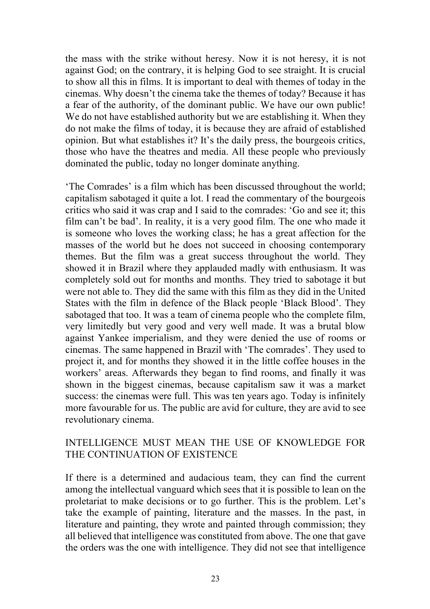the mass with the strike without heresy. Now it is not heresy, it is not against God; on the contrary, it is helping God to see straight. It is crucial to show all this in films. It is important to deal with themes of today in the cinemas. Why doesn't the cinema take the themes of today? Because it has a fear of the authority, of the dominant public. We have our own public! We do not have established authority but we are establishing it. When they do not make the films of today, it is because they are afraid of established opinion. But what establishes it? It's the daily press, the bourgeois critics, those who have the theatres and media. All these people who previously dominated the public, today no longer dominate anything.

'The Comrades' is a film which has been discussed throughout the world; capitalism sabotaged it quite a lot. I read the commentary of the bourgeois critics who said it was crap and I said to the comrades: 'Go and see it; this film can't be bad'. In reality, it is a very good film. The one who made it is someone who loves the working class; he has a great affection for the masses of the world but he does not succeed in choosing contemporary themes. But the film was a great success throughout the world. They showed it in Brazil where they applauded madly with enthusiasm. It was completely sold out for months and months. They tried to sabotage it but were not able to. They did the same with this film as they did in the United States with the film in defence of the Black people 'Black Blood'. They sabotaged that too. It was a team of cinema people who the complete film, very limitedly but very good and very well made. It was a brutal blow against Yankee imperialism, and they were denied the use of rooms or cinemas. The same happened in Brazil with 'The comrades'. They used to project it, and for months they showed it in the little coffee houses in the workers' areas. Afterwards they began to find rooms, and finally it was shown in the biggest cinemas, because capitalism saw it was a market success: the cinemas were full. This was ten years ago. Today is infinitely more favourable for us. The public are avid for culture, they are avid to see revolutionary cinema.

#### INTELLIGENCE MUST MEAN THE USE OF KNOWLEDGE FOR THE CONTINUATION OF EXISTENCE

If there is a determined and audacious team, they can find the current among the intellectual vanguard which sees that it is possible to lean on the proletariat to make decisions or to go further. This is the problem. Let's take the example of painting, literature and the masses. In the past, in literature and painting, they wrote and painted through commission; they all believed that intelligence was constituted from above. The one that gave the orders was the one with intelligence. They did not see that intelligence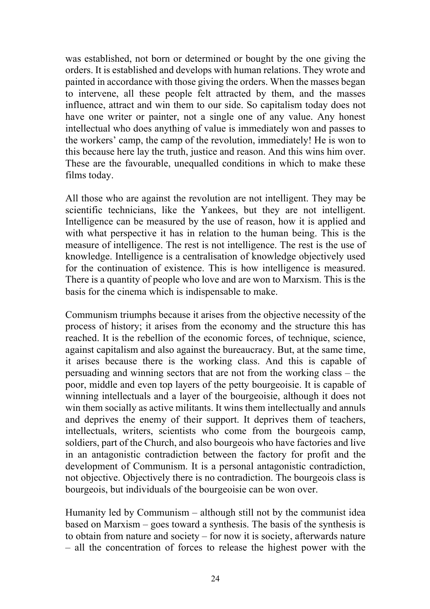was established, not born or determined or bought by the one giving the orders. It is established and develops with human relations. They wrote and painted in accordance with those giving the orders. When the masses began to intervene, all these people felt attracted by them, and the masses influence, attract and win them to our side. So capitalism today does not have one writer or painter, not a single one of any value. Any honest intellectual who does anything of value is immediately won and passes to the workers' camp, the camp of the revolution, immediately! He is won to this because here lay the truth, justice and reason. And this wins him over. These are the favourable, unequalled conditions in which to make these films today.

All those who are against the revolution are not intelligent. They may be scientific technicians, like the Yankees, but they are not intelligent. Intelligence can be measured by the use of reason, how it is applied and with what perspective it has in relation to the human being. This is the measure of intelligence. The rest is not intelligence. The rest is the use of knowledge. Intelligence is a centralisation of knowledge objectively used for the continuation of existence. This is how intelligence is measured. There is a quantity of people who love and are won to Marxism. This is the basis for the cinema which is indispensable to make.

Communism triumphs because it arises from the objective necessity of the process of history; it arises from the economy and the structure this has reached. It is the rebellion of the economic forces, of technique, science, against capitalism and also against the bureaucracy. But, at the same time, it arises because there is the working class. And this is capable of persuading and winning sectors that are not from the working class – the poor, middle and even top layers of the petty bourgeoisie. It is capable of winning intellectuals and a layer of the bourgeoisie, although it does not win them socially as active militants. It wins them intellectually and annuls and deprives the enemy of their support. It deprives them of teachers, intellectuals, writers, scientists who come from the bourgeois camp, soldiers, part of the Church, and also bourgeois who have factories and live in an antagonistic contradiction between the factory for profit and the development of Communism. It is a personal antagonistic contradiction, not objective. Objectively there is no contradiction. The bourgeois class is bourgeois, but individuals of the bourgeoisie can be won over.

Humanity led by Communism – although still not by the communist idea based on Marxism – goes toward a synthesis. The basis of the synthesis is to obtain from nature and society – for now it is society, afterwards nature – all the concentration of forces to release the highest power with the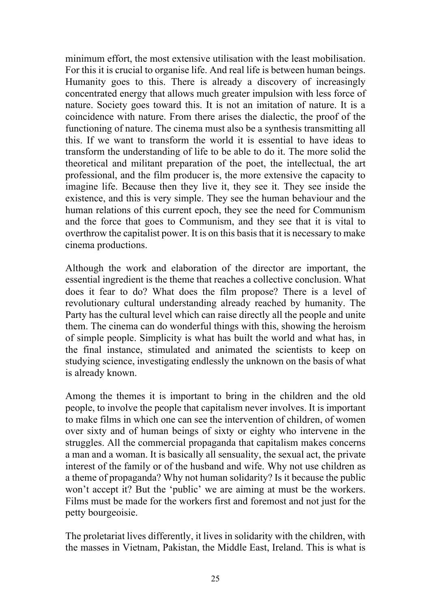minimum effort, the most extensive utilisation with the least mobilisation. For this it is crucial to organise life. And real life is between human beings. Humanity goes to this. There is already a discovery of increasingly concentrated energy that allows much greater impulsion with less force of nature. Society goes toward this. It is not an imitation of nature. It is a coincidence with nature. From there arises the dialectic, the proof of the functioning of nature. The cinema must also be a synthesis transmitting all this. If we want to transform the world it is essential to have ideas to transform the understanding of life to be able to do it. The more solid the theoretical and militant preparation of the poet, the intellectual, the art professional, and the film producer is, the more extensive the capacity to imagine life. Because then they live it, they see it. They see inside the existence, and this is very simple. They see the human behaviour and the human relations of this current epoch, they see the need for Communism and the force that goes to Communism, and they see that it is vital to overthrow the capitalist power. It is on this basis that it is necessary to make cinema productions.

Although the work and elaboration of the director are important, the essential ingredient is the theme that reaches a collective conclusion. What does it fear to do? What does the film propose? There is a level of revolutionary cultural understanding already reached by humanity. The Party has the cultural level which can raise directly all the people and unite them. The cinema can do wonderful things with this, showing the heroism of simple people. Simplicity is what has built the world and what has, in the final instance, stimulated and animated the scientists to keep on studying science, investigating endlessly the unknown on the basis of what is already known.

Among the themes it is important to bring in the children and the old people, to involve the people that capitalism never involves. It is important to make films in which one can see the intervention of children, of women over sixty and of human beings of sixty or eighty who intervene in the struggles. All the commercial propaganda that capitalism makes concerns a man and a woman. It is basically all sensuality, the sexual act, the private interest of the family or of the husband and wife. Why not use children as a theme of propaganda? Why not human solidarity? Is it because the public won't accept it? But the 'public' we are aiming at must be the workers. Films must be made for the workers first and foremost and not just for the petty bourgeoisie.

The proletariat lives differently, it lives in solidarity with the children, with the masses in Vietnam, Pakistan, the Middle East, Ireland. This is what is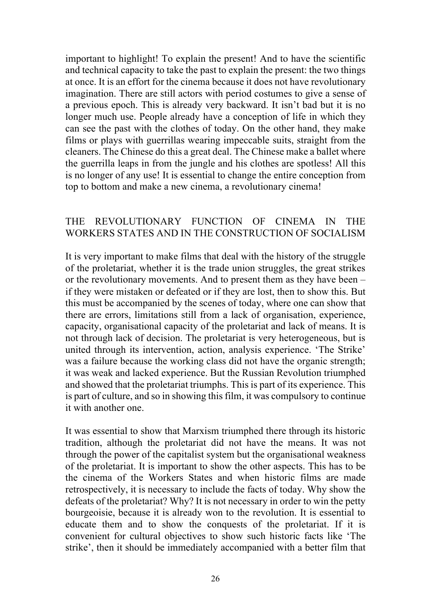important to highlight! To explain the present! And to have the scientific and technical capacity to take the past to explain the present: the two things at once. It is an effort for the cinema because it does not have revolutionary imagination. There are still actors with period costumes to give a sense of a previous epoch. This is already very backward. It isn't bad but it is no longer much use. People already have a conception of life in which they can see the past with the clothes of today. On the other hand, they make films or plays with guerrillas wearing impeccable suits, straight from the cleaners. The Chinese do this a great deal. The Chinese make a ballet where the guerrilla leaps in from the jungle and his clothes are spotless! All this is no longer of any use! It is essential to change the entire conception from top to bottom and make a new cinema, a revolutionary cinema!

#### THE REVOLUTIONARY FUNCTION OF CINEMA IN THE WORKERS STATES AND IN THE CONSTRUCTION OF SOCIALISM

It is very important to make films that deal with the history of the struggle of the proletariat, whether it is the trade union struggles, the great strikes or the revolutionary movements. And to present them as they have been – if they were mistaken or defeated or if they are lost, then to show this. But this must be accompanied by the scenes of today, where one can show that there are errors, limitations still from a lack of organisation, experience, capacity, organisational capacity of the proletariat and lack of means. It is not through lack of decision. The proletariat is very heterogeneous, but is united through its intervention, action, analysis experience. 'The Strike' was a failure because the working class did not have the organic strength; it was weak and lacked experience. But the Russian Revolution triumphed and showed that the proletariat triumphs. This is part of its experience. This is part of culture, and so in showing this film, it was compulsory to continue it with another one.

It was essential to show that Marxism triumphed there through its historic tradition, although the proletariat did not have the means. It was not through the power of the capitalist system but the organisational weakness of the proletariat. It is important to show the other aspects. This has to be the cinema of the Workers States and when historic films are made retrospectively, it is necessary to include the facts of today. Why show the defeats of the proletariat? Why? It is not necessary in order to win the petty bourgeoisie, because it is already won to the revolution. It is essential to educate them and to show the conquests of the proletariat. If it is convenient for cultural objectives to show such historic facts like 'The strike', then it should be immediately accompanied with a better film that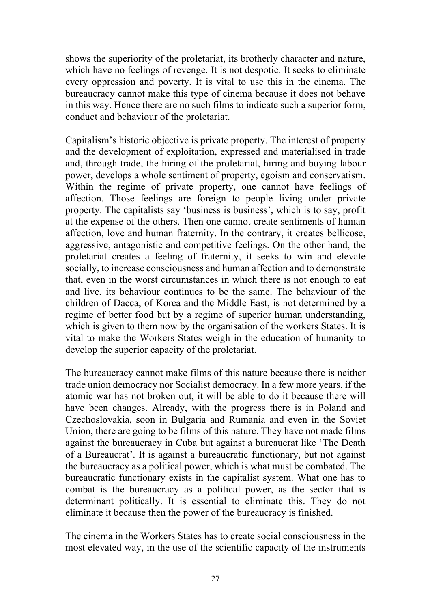shows the superiority of the proletariat, its brotherly character and nature, which have no feelings of revenge. It is not despotic. It seeks to eliminate every oppression and poverty. It is vital to use this in the cinema. The bureaucracy cannot make this type of cinema because it does not behave in this way. Hence there are no such films to indicate such a superior form, conduct and behaviour of the proletariat.

Capitalism's historic objective is private property. The interest of property and the development of exploitation, expressed and materialised in trade and, through trade, the hiring of the proletariat, hiring and buying labour power, develops a whole sentiment of property, egoism and conservatism. Within the regime of private property, one cannot have feelings of affection. Those feelings are foreign to people living under private property. The capitalists say 'business is business', which is to say, profit at the expense of the others. Then one cannot create sentiments of human affection, love and human fraternity. In the contrary, it creates bellicose, aggressive, antagonistic and competitive feelings. On the other hand, the proletariat creates a feeling of fraternity, it seeks to win and elevate socially, to increase consciousness and human affection and to demonstrate that, even in the worst circumstances in which there is not enough to eat and live, its behaviour continues to be the same. The behaviour of the children of Dacca, of Korea and the Middle East, is not determined by a regime of better food but by a regime of superior human understanding, which is given to them now by the organisation of the workers States. It is vital to make the Workers States weigh in the education of humanity to develop the superior capacity of the proletariat.

The bureaucracy cannot make films of this nature because there is neither trade union democracy nor Socialist democracy. In a few more years, if the atomic war has not broken out, it will be able to do it because there will have been changes. Already, with the progress there is in Poland and Czechoslovakia, soon in Bulgaria and Rumania and even in the Soviet Union, there are going to be films of this nature. They have not made films against the bureaucracy in Cuba but against a bureaucrat like 'The Death of a Bureaucrat'. It is against a bureaucratic functionary, but not against the bureaucracy as a political power, which is what must be combated. The bureaucratic functionary exists in the capitalist system. What one has to combat is the bureaucracy as a political power, as the sector that is determinant politically. It is essential to eliminate this. They do not eliminate it because then the power of the bureaucracy is finished.

The cinema in the Workers States has to create social consciousness in the most elevated way, in the use of the scientific capacity of the instruments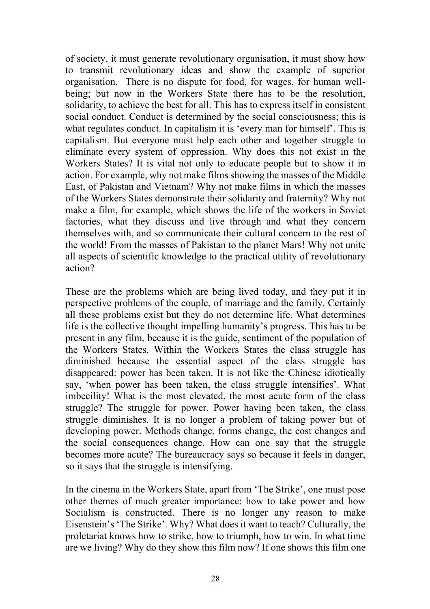of society, it must generate revolutionary organisation, it must show how to transmit revolutionary ideas and show the example of superior organisation. There is no dispute for food, for wages, for human wellbeing; but now in the Workers State there has to be the resolution, solidarity, to achieve the best for all. This has to express itself in consistent social conduct. Conduct is determined by the social consciousness; this is what regulates conduct. In capitalism it is 'every man for himself'. This is capitalism. But everyone must help each other and together struggle to eliminate every system of oppression. Why does this not exist in the Workers States? It is vital not only to educate people but to show it in action. For example, why not make films showing the masses of the Middle East, of Pakistan and Vietnam? Why not make films in which the masses of the Workers States demonstrate their solidarity and fraternity? Why not make a film, for example, which shows the life of the workers in Soviet factories, what they discuss and live through and what they concern themselves with, and so communicate their cultural concern to the rest of the world! From the masses of Pakistan to the planet Mars! Why not unite all aspects of scientific knowledge to the practical utility of revolutionary action?

These are the problems which are being lived today, and they put it in perspective problems of the couple, of marriage and the family. Certainly all these problems exist but they do not determine life. What determines life is the collective thought impelling humanity's progress. This has to be present in any film, because it is the guide, sentiment of the population of the Workers States. Within the Workers States the class struggle has diminished because the essential aspect of the class struggle has disappeared: power has been taken. It is not like the Chinese idiotically say, 'when power has been taken, the class struggle intensifies'. What imbecility! What is the most elevated, the most acute form of the class struggle? The struggle for power. Power having been taken, the class struggle diminishes. It is no longer a problem of taking power but of developing power. Methods change, forms change, the cost changes and the social consequences change. How can one say that the struggle becomes more acute? The bureaucracy says so because it feels in danger, so it says that the struggle is intensifying.

In the cinema in the Workers State, apart from 'The Strike', one must pose other themes of much greater importance: how to take power and how Socialism is constructed. There is no longer any reason to make Eisenstein's 'The Strike'. Why? What does it want to teach? Culturally, the proletariat knows how to strike, how to triumph, how to win. In what time are we living? Why do they show this film now? If one shows this film one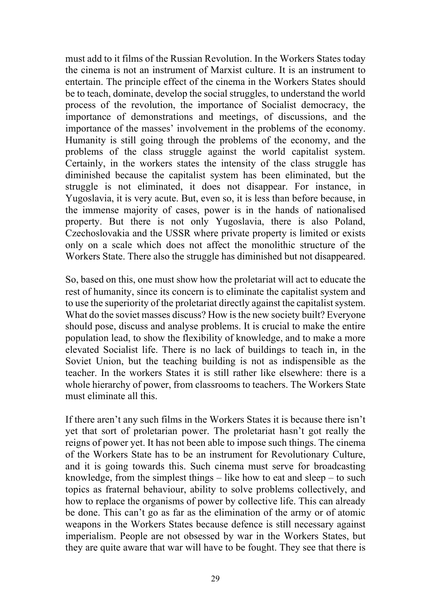must add to it films of the Russian Revolution. In the Workers States today the cinema is not an instrument of Marxist culture. It is an instrument to entertain. The principle effect of the cinema in the Workers States should be to teach, dominate, develop the social struggles, to understand the world process of the revolution, the importance of Socialist democracy, the importance of demonstrations and meetings, of discussions, and the importance of the masses' involvement in the problems of the economy. Humanity is still going through the problems of the economy, and the problems of the class struggle against the world capitalist system. Certainly, in the workers states the intensity of the class struggle has diminished because the capitalist system has been eliminated, but the struggle is not eliminated, it does not disappear. For instance, in Yugoslavia, it is very acute. But, even so, it is less than before because, in the immense majority of cases, power is in the hands of nationalised property. But there is not only Yugoslavia, there is also Poland, Czechoslovakia and the USSR where private property is limited or exists only on a scale which does not affect the monolithic structure of the Workers State. There also the struggle has diminished but not disappeared.

So, based on this, one must show how the proletariat will act to educate the rest of humanity, since its concern is to eliminate the capitalist system and to use the superiority of the proletariat directly against the capitalist system. What do the soviet masses discuss? How is the new society built? Everyone should pose, discuss and analyse problems. It is crucial to make the entire population lead, to show the flexibility of knowledge, and to make a more elevated Socialist life. There is no lack of buildings to teach in, in the Soviet Union, but the teaching building is not as indispensible as the teacher. In the workers States it is still rather like elsewhere: there is a whole hierarchy of power, from classrooms to teachers. The Workers State must eliminate all this.

If there aren't any such films in the Workers States it is because there isn't yet that sort of proletarian power. The proletariat hasn't got really the reigns of power yet. It has not been able to impose such things. The cinema of the Workers State has to be an instrument for Revolutionary Culture, and it is going towards this. Such cinema must serve for broadcasting knowledge, from the simplest things  $-$  like how to eat and sleep  $-$  to such topics as fraternal behaviour, ability to solve problems collectively, and how to replace the organisms of power by collective life. This can already be done. This can't go as far as the elimination of the army or of atomic weapons in the Workers States because defence is still necessary against imperialism. People are not obsessed by war in the Workers States, but they are quite aware that war will have to be fought. They see that there is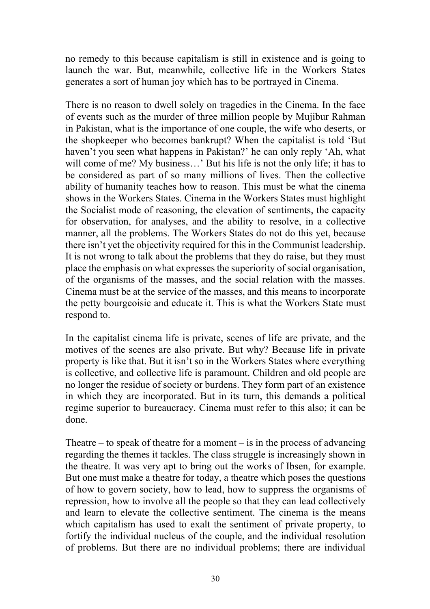no remedy to this because capitalism is still in existence and is going to launch the war. But, meanwhile, collective life in the Workers States generates a sort of human joy which has to be portrayed in Cinema.

There is no reason to dwell solely on tragedies in the Cinema. In the face of events such as the murder of three million people by Mujibur Rahman in Pakistan, what is the importance of one couple, the wife who deserts, or the shopkeeper who becomes bankrupt? When the capitalist is told 'But haven't you seen what happens in Pakistan?' he can only reply 'Ah, what will come of me? My business...' But his life is not the only life; it has to be considered as part of so many millions of lives. Then the collective ability of humanity teaches how to reason. This must be what the cinema shows in the Workers States. Cinema in the Workers States must highlight the Socialist mode of reasoning, the elevation of sentiments, the capacity for observation, for analyses, and the ability to resolve, in a collective manner, all the problems. The Workers States do not do this yet, because there isn't yet the objectivity required for this in the Communist leadership. It is not wrong to talk about the problems that they do raise, but they must place the emphasis on what expresses the superiority of social organisation, of the organisms of the masses, and the social relation with the masses. Cinema must be at the service of the masses, and this means to incorporate the petty bourgeoisie and educate it. This is what the Workers State must respond to.

In the capitalist cinema life is private, scenes of life are private, and the motives of the scenes are also private. But why? Because life in private property is like that. But it isn't so in the Workers States where everything is collective, and collective life is paramount. Children and old people are no longer the residue of society or burdens. They form part of an existence in which they are incorporated. But in its turn, this demands a political regime superior to bureaucracy. Cinema must refer to this also; it can be done.

Theatre – to speak of theatre for a moment – is in the process of advancing regarding the themes it tackles. The class struggle is increasingly shown in the theatre. It was very apt to bring out the works of Ibsen, for example. But one must make a theatre for today, a theatre which poses the questions of how to govern society, how to lead, how to suppress the organisms of repression, how to involve all the people so that they can lead collectively and learn to elevate the collective sentiment. The cinema is the means which capitalism has used to exalt the sentiment of private property, to fortify the individual nucleus of the couple, and the individual resolution of problems. But there are no individual problems; there are individual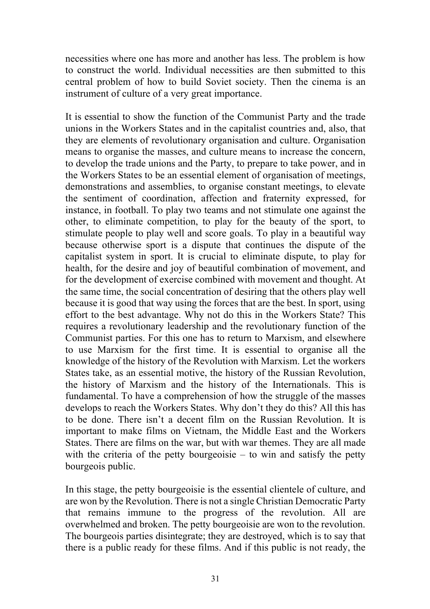necessities where one has more and another has less. The problem is how to construct the world. Individual necessities are then submitted to this central problem of how to build Soviet society. Then the cinema is an instrument of culture of a very great importance.

It is essential to show the function of the Communist Party and the trade unions in the Workers States and in the capitalist countries and, also, that they are elements of revolutionary organisation and culture. Organisation means to organise the masses, and culture means to increase the concern, to develop the trade unions and the Party, to prepare to take power, and in the Workers States to be an essential element of organisation of meetings, demonstrations and assemblies, to organise constant meetings, to elevate the sentiment of coordination, affection and fraternity expressed, for instance, in football. To play two teams and not stimulate one against the other, to eliminate competition, to play for the beauty of the sport, to stimulate people to play well and score goals. To play in a beautiful way because otherwise sport is a dispute that continues the dispute of the capitalist system in sport. It is crucial to eliminate dispute, to play for health, for the desire and joy of beautiful combination of movement, and for the development of exercise combined with movement and thought. At the same time, the social concentration of desiring that the others play well because it is good that way using the forces that are the best. In sport, using effort to the best advantage. Why not do this in the Workers State? This requires a revolutionary leadership and the revolutionary function of the Communist parties. For this one has to return to Marxism, and elsewhere to use Marxism for the first time. It is essential to organise all the knowledge of the history of the Revolution with Marxism. Let the workers States take, as an essential motive, the history of the Russian Revolution, the history of Marxism and the history of the Internationals. This is fundamental. To have a comprehension of how the struggle of the masses develops to reach the Workers States. Why don't they do this? All this has to be done. There isn't a decent film on the Russian Revolution. It is important to make films on Vietnam, the Middle East and the Workers States. There are films on the war, but with war themes. They are all made with the criteria of the petty bourgeoisie  $-$  to win and satisfy the petty bourgeois public.

In this stage, the petty bourgeoisie is the essential clientele of culture, and are won by the Revolution. There is not a single Christian Democratic Party that remains immune to the progress of the revolution. All are overwhelmed and broken. The petty bourgeoisie are won to the revolution. The bourgeois parties disintegrate; they are destroyed, which is to say that there is a public ready for these films. And if this public is not ready, the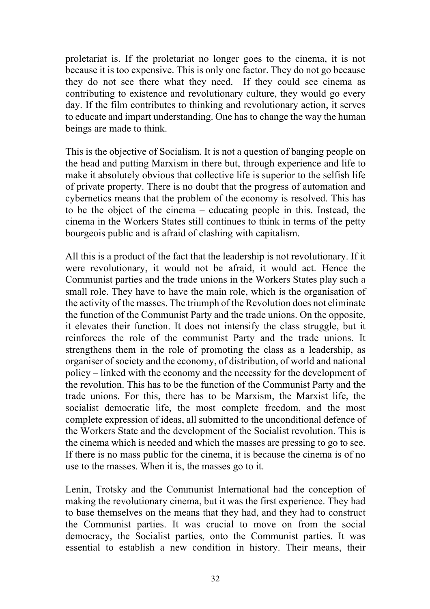proletariat is. If the proletariat no longer goes to the cinema, it is not because it is too expensive. This is only one factor. They do not go because they do not see there what they need. If they could see cinema as contributing to existence and revolutionary culture, they would go every day. If the film contributes to thinking and revolutionary action, it serves to educate and impart understanding. One has to change the way the human beings are made to think.

This is the objective of Socialism. It is not a question of banging people on the head and putting Marxism in there but, through experience and life to make it absolutely obvious that collective life is superior to the selfish life of private property. There is no doubt that the progress of automation and cybernetics means that the problem of the economy is resolved. This has to be the object of the cinema – educating people in this. Instead, the cinema in the Workers States still continues to think in terms of the petty bourgeois public and is afraid of clashing with capitalism.

All this is a product of the fact that the leadership is not revolutionary. If it were revolutionary, it would not be afraid, it would act. Hence the Communist parties and the trade unions in the Workers States play such a small role. They have to have the main role, which is the organisation of the activity of the masses. The triumph of the Revolution does not eliminate the function of the Communist Party and the trade unions. On the opposite, it elevates their function. It does not intensify the class struggle, but it reinforces the role of the communist Party and the trade unions. It strengthens them in the role of promoting the class as a leadership, as organiser of society and the economy, of distribution, of world and national policy – linked with the economy and the necessity for the development of the revolution. This has to be the function of the Communist Party and the trade unions. For this, there has to be Marxism, the Marxist life, the socialist democratic life, the most complete freedom, and the most complete expression of ideas, all submitted to the unconditional defence of the Workers State and the development of the Socialist revolution. This is the cinema which is needed and which the masses are pressing to go to see. If there is no mass public for the cinema, it is because the cinema is of no use to the masses. When it is, the masses go to it.

Lenin, Trotsky and the Communist International had the conception of making the revolutionary cinema, but it was the first experience. They had to base themselves on the means that they had, and they had to construct the Communist parties. It was crucial to move on from the social democracy, the Socialist parties, onto the Communist parties. It was essential to establish a new condition in history. Their means, their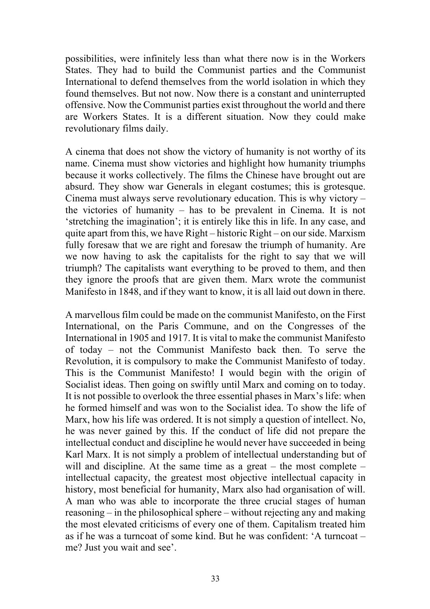possibilities, were infinitely less than what there now is in the Workers States. They had to build the Communist parties and the Communist International to defend themselves from the world isolation in which they found themselves. But not now. Now there is a constant and uninterrupted offensive. Now the Communist parties exist throughout the world and there are Workers States. It is a different situation. Now they could make revolutionary films daily.

A cinema that does not show the victory of humanity is not worthy of its name. Cinema must show victories and highlight how humanity triumphs because it works collectively. The films the Chinese have brought out are absurd. They show war Generals in elegant costumes; this is grotesque. Cinema must always serve revolutionary education. This is why victory – the victories of humanity – has to be prevalent in Cinema. It is not 'stretching the imagination'; it is entirely like this in life. In any case, and quite apart from this, we have Right – historic Right – on our side. Marxism fully foresaw that we are right and foresaw the triumph of humanity. Are we now having to ask the capitalists for the right to say that we will triumph? The capitalists want everything to be proved to them, and then they ignore the proofs that are given them. Marx wrote the communist Manifesto in 1848, and if they want to know, it is all laid out down in there.

A marvellous film could be made on the communist Manifesto, on the First International, on the Paris Commune, and on the Congresses of the International in 1905 and 1917. It is vital to make the communist Manifesto of today – not the Communist Manifesto back then. To serve the Revolution, it is compulsory to make the Communist Manifesto of today. This is the Communist Manifesto! I would begin with the origin of Socialist ideas. Then going on swiftly until Marx and coming on to today. It is not possible to overlook the three essential phases in Marx's life: when he formed himself and was won to the Socialist idea. To show the life of Marx, how his life was ordered. It is not simply a question of intellect. No, he was never gained by this. If the conduct of life did not prepare the intellectual conduct and discipline he would never have succeeded in being Karl Marx. It is not simply a problem of intellectual understanding but of will and discipline. At the same time as a great – the most complete – intellectual capacity, the greatest most objective intellectual capacity in history, most beneficial for humanity, Marx also had organisation of will. A man who was able to incorporate the three crucial stages of human reasoning – in the philosophical sphere – without rejecting any and making the most elevated criticisms of every one of them. Capitalism treated him as if he was a turncoat of some kind. But he was confident: 'A turncoat – me? Just you wait and see'.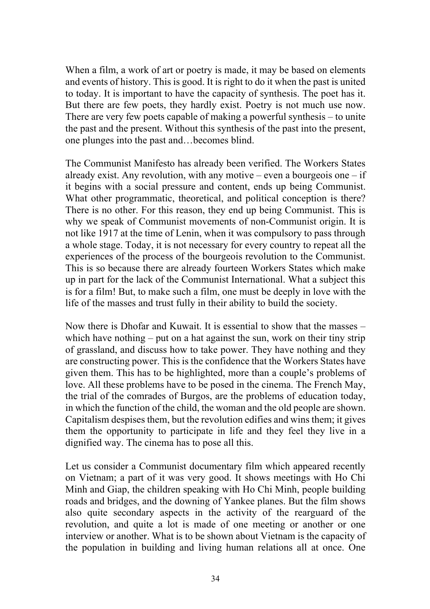When a film, a work of art or poetry is made, it may be based on elements and events of history. This is good. It is right to do it when the past is united to today. It is important to have the capacity of synthesis. The poet has it. But there are few poets, they hardly exist. Poetry is not much use now. There are very few poets capable of making a powerful synthesis – to unite the past and the present. Without this synthesis of the past into the present, one plunges into the past and…becomes blind.

The Communist Manifesto has already been verified. The Workers States already exist. Any revolution, with any motive – even a bourgeois one – if it begins with a social pressure and content, ends up being Communist. What other programmatic, theoretical, and political conception is there? There is no other. For this reason, they end up being Communist. This is why we speak of Communist movements of non-Communist origin. It is not like 1917 at the time of Lenin, when it was compulsory to pass through a whole stage. Today, it is not necessary for every country to repeat all the experiences of the process of the bourgeois revolution to the Communist. This is so because there are already fourteen Workers States which make up in part for the lack of the Communist International. What a subject this is for a film! But, to make such a film, one must be deeply in love with the life of the masses and trust fully in their ability to build the society.

Now there is Dhofar and Kuwait. It is essential to show that the masses – which have nothing – put on a hat against the sun, work on their tiny strip of grassland, and discuss how to take power. They have nothing and they are constructing power. This is the confidence that the Workers States have given them. This has to be highlighted, more than a couple's problems of love. All these problems have to be posed in the cinema. The French May, the trial of the comrades of Burgos, are the problems of education today, in which the function of the child, the woman and the old people are shown. Capitalism despises them, but the revolution edifies and wins them; it gives them the opportunity to participate in life and they feel they live in a dignified way. The cinema has to pose all this.

Let us consider a Communist documentary film which appeared recently on Vietnam; a part of it was very good. It shows meetings with Ho Chi Minh and Giap, the children speaking with Ho Chi Minh, people building roads and bridges, and the downing of Yankee planes. But the film shows also quite secondary aspects in the activity of the rearguard of the revolution, and quite a lot is made of one meeting or another or one interview or another. What is to be shown about Vietnam is the capacity of the population in building and living human relations all at once. One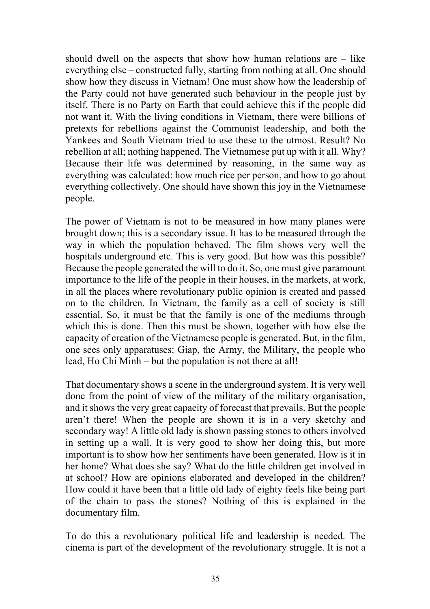should dwell on the aspects that show how human relations are  $-$  like everything else – constructed fully, starting from nothing at all. One should show how they discuss in Vietnam! One must show how the leadership of the Party could not have generated such behaviour in the people just by itself. There is no Party on Earth that could achieve this if the people did not want it. With the living conditions in Vietnam, there were billions of pretexts for rebellions against the Communist leadership, and both the Yankees and South Vietnam tried to use these to the utmost. Result? No rebellion at all; nothing happened. The Vietnamese put up with it all. Why? Because their life was determined by reasoning, in the same way as everything was calculated: how much rice per person, and how to go about everything collectively. One should have shown this joy in the Vietnamese people.

The power of Vietnam is not to be measured in how many planes were brought down; this is a secondary issue. It has to be measured through the way in which the population behaved. The film shows very well the hospitals underground etc. This is very good. But how was this possible? Because the people generated the will to do it. So, one must give paramount importance to the life of the people in their houses, in the markets, at work, in all the places where revolutionary public opinion is created and passed on to the children. In Vietnam, the family as a cell of society is still essential. So, it must be that the family is one of the mediums through which this is done. Then this must be shown, together with how else the capacity of creation of the Vietnamese people is generated. But, in the film, one sees only apparatuses: Giap, the Army, the Military, the people who lead, Ho Chi Minh – but the population is not there at all!

That documentary shows a scene in the underground system. It is very well done from the point of view of the military of the military organisation, and it shows the very great capacity of forecast that prevails. But the people aren't there! When the people are shown it is in a very sketchy and secondary way! A little old lady is shown passing stones to others involved in setting up a wall. It is very good to show her doing this, but more important is to show how her sentiments have been generated. How is it in her home? What does she say? What do the little children get involved in at school? How are opinions elaborated and developed in the children? How could it have been that a little old lady of eighty feels like being part of the chain to pass the stones? Nothing of this is explained in the documentary film.

To do this a revolutionary political life and leadership is needed. The cinema is part of the development of the revolutionary struggle. It is not a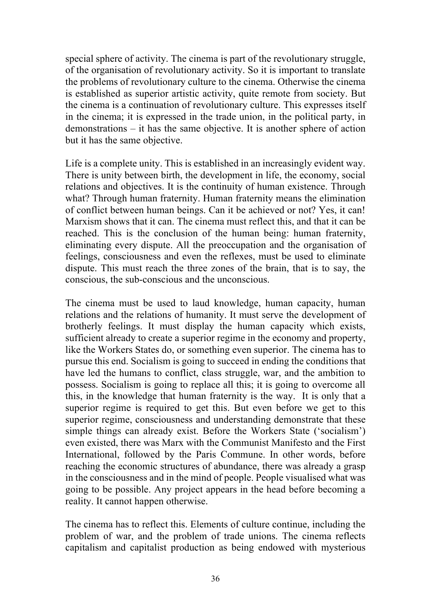special sphere of activity. The cinema is part of the revolutionary struggle, of the organisation of revolutionary activity. So it is important to translate the problems of revolutionary culture to the cinema. Otherwise the cinema is established as superior artistic activity, quite remote from society. But the cinema is a continuation of revolutionary culture. This expresses itself in the cinema; it is expressed in the trade union, in the political party, in demonstrations – it has the same objective. It is another sphere of action but it has the same objective.

Life is a complete unity. This is established in an increasingly evident way. There is unity between birth, the development in life, the economy, social relations and objectives. It is the continuity of human existence. Through what? Through human fraternity. Human fraternity means the elimination of conflict between human beings. Can it be achieved or not? Yes, it can! Marxism shows that it can. The cinema must reflect this, and that it can be reached. This is the conclusion of the human being: human fraternity, eliminating every dispute. All the preoccupation and the organisation of feelings, consciousness and even the reflexes, must be used to eliminate dispute. This must reach the three zones of the brain, that is to say, the conscious, the sub-conscious and the unconscious.

The cinema must be used to laud knowledge, human capacity, human relations and the relations of humanity. It must serve the development of brotherly feelings. It must display the human capacity which exists, sufficient already to create a superior regime in the economy and property, like the Workers States do, or something even superior. The cinema has to pursue this end. Socialism is going to succeed in ending the conditions that have led the humans to conflict, class struggle, war, and the ambition to possess. Socialism is going to replace all this; it is going to overcome all this, in the knowledge that human fraternity is the way. It is only that a superior regime is required to get this. But even before we get to this superior regime, consciousness and understanding demonstrate that these simple things can already exist. Before the Workers State ('socialism') even existed, there was Marx with the Communist Manifesto and the First International, followed by the Paris Commune. In other words, before reaching the economic structures of abundance, there was already a grasp in the consciousness and in the mind of people. People visualised what was going to be possible. Any project appears in the head before becoming a reality. It cannot happen otherwise.

The cinema has to reflect this. Elements of culture continue, including the problem of war, and the problem of trade unions. The cinema reflects capitalism and capitalist production as being endowed with mysterious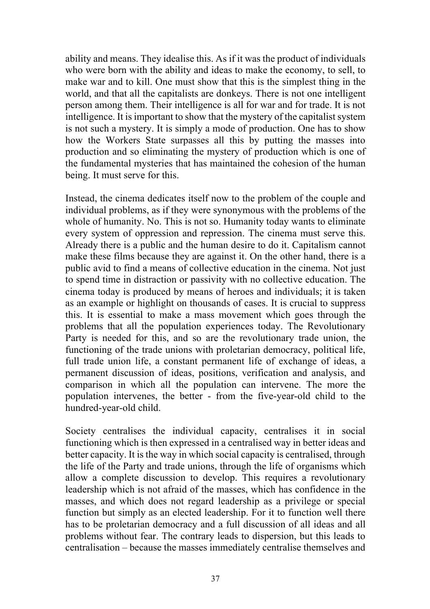ability and means. They idealise this. As if it was the product of individuals who were born with the ability and ideas to make the economy, to sell, to make war and to kill. One must show that this is the simplest thing in the world, and that all the capitalists are donkeys. There is not one intelligent person among them. Their intelligence is all for war and for trade. It is not intelligence. It is important to show that the mystery of the capitalist system is not such a mystery. It is simply a mode of production. One has to show how the Workers State surpasses all this by putting the masses into production and so eliminating the mystery of production which is one of the fundamental mysteries that has maintained the cohesion of the human being. It must serve for this.

Instead, the cinema dedicates itself now to the problem of the couple and individual problems, as if they were synonymous with the problems of the whole of humanity. No. This is not so. Humanity today wants to eliminate every system of oppression and repression. The cinema must serve this. Already there is a public and the human desire to do it. Capitalism cannot make these films because they are against it. On the other hand, there is a public avid to find a means of collective education in the cinema. Not just to spend time in distraction or passivity with no collective education. The cinema today is produced by means of heroes and individuals; it is taken as an example or highlight on thousands of cases. It is crucial to suppress this. It is essential to make a mass movement which goes through the problems that all the population experiences today. The Revolutionary Party is needed for this, and so are the revolutionary trade union, the functioning of the trade unions with proletarian democracy, political life, full trade union life, a constant permanent life of exchange of ideas, a permanent discussion of ideas, positions, verification and analysis, and comparison in which all the population can intervene. The more the population intervenes, the better - from the five-year-old child to the hundred-year-old child.

Society centralises the individual capacity, centralises it in social functioning which is then expressed in a centralised way in better ideas and better capacity. It is the way in which social capacity is centralised, through the life of the Party and trade unions, through the life of organisms which allow a complete discussion to develop. This requires a revolutionary leadership which is not afraid of the masses, which has confidence in the masses, and which does not regard leadership as a privilege or special function but simply as an elected leadership. For it to function well there has to be proletarian democracy and a full discussion of all ideas and all problems without fear. The contrary leads to dispersion, but this leads to centralisation – because the masses immediately centralise themselves and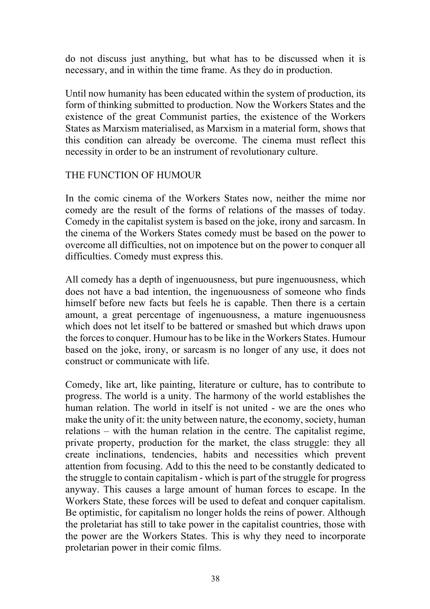do not discuss just anything, but what has to be discussed when it is necessary, and in within the time frame. As they do in production.

Until now humanity has been educated within the system of production, its form of thinking submitted to production. Now the Workers States and the existence of the great Communist parties, the existence of the Workers States as Marxism materialised, as Marxism in a material form, shows that this condition can already be overcome. The cinema must reflect this necessity in order to be an instrument of revolutionary culture.

#### THE FUNCTION OF HUMOUR

In the comic cinema of the Workers States now, neither the mime nor comedy are the result of the forms of relations of the masses of today. Comedy in the capitalist system is based on the joke, irony and sarcasm. In the cinema of the Workers States comedy must be based on the power to overcome all difficulties, not on impotence but on the power to conquer all difficulties. Comedy must express this.

All comedy has a depth of ingenuousness, but pure ingenuousness, which does not have a bad intention, the ingenuousness of someone who finds himself before new facts but feels he is capable. Then there is a certain amount, a great percentage of ingenuousness, a mature ingenuousness which does not let itself to be battered or smashed but which draws upon the forces to conquer. Humour has to be like in the Workers States. Humour based on the joke, irony, or sarcasm is no longer of any use, it does not construct or communicate with life.

Comedy, like art, like painting, literature or culture, has to contribute to progress. The world is a unity. The harmony of the world establishes the human relation. The world in itself is not united - we are the ones who make the unity of it: the unity between nature, the economy, society, human relations – with the human relation in the centre. The capitalist regime, private property, production for the market, the class struggle: they all create inclinations, tendencies, habits and necessities which prevent attention from focusing. Add to this the need to be constantly dedicated to the struggle to contain capitalism - which is part of the struggle for progress anyway. This causes a large amount of human forces to escape. In the Workers State, these forces will be used to defeat and conquer capitalism. Be optimistic, for capitalism no longer holds the reins of power. Although the proletariat has still to take power in the capitalist countries, those with the power are the Workers States. This is why they need to incorporate proletarian power in their comic films.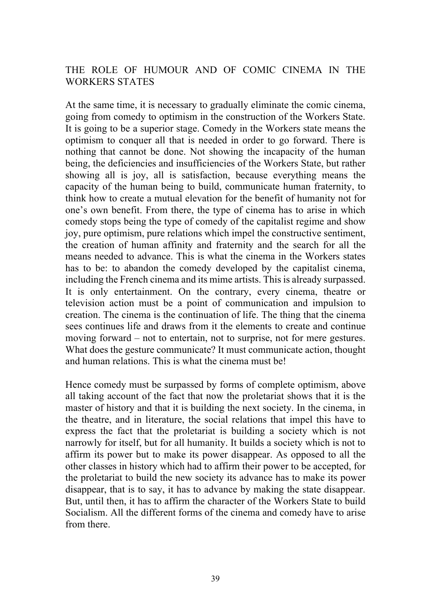### THE ROLE OF HUMOUR AND OF COMIC CINEMA IN THE WORKERS STATES

At the same time, it is necessary to gradually eliminate the comic cinema, going from comedy to optimism in the construction of the Workers State. It is going to be a superior stage. Comedy in the Workers state means the optimism to conquer all that is needed in order to go forward. There is nothing that cannot be done. Not showing the incapacity of the human being, the deficiencies and insufficiencies of the Workers State, but rather showing all is joy, all is satisfaction, because everything means the capacity of the human being to build, communicate human fraternity, to think how to create a mutual elevation for the benefit of humanity not for one's own benefit. From there, the type of cinema has to arise in which comedy stops being the type of comedy of the capitalist regime and show joy, pure optimism, pure relations which impel the constructive sentiment, the creation of human affinity and fraternity and the search for all the means needed to advance. This is what the cinema in the Workers states has to be: to abandon the comedy developed by the capitalist cinema, including the French cinema and its mime artists. This is already surpassed. It is only entertainment. On the contrary, every cinema, theatre or television action must be a point of communication and impulsion to creation. The cinema is the continuation of life. The thing that the cinema sees continues life and draws from it the elements to create and continue moving forward – not to entertain, not to surprise, not for mere gestures. What does the gesture communicate? It must communicate action, thought and human relations. This is what the cinema must be!

Hence comedy must be surpassed by forms of complete optimism, above all taking account of the fact that now the proletariat shows that it is the master of history and that it is building the next society. In the cinema, in the theatre, and in literature, the social relations that impel this have to express the fact that the proletariat is building a society which is not narrowly for itself, but for all humanity. It builds a society which is not to affirm its power but to make its power disappear. As opposed to all the other classes in history which had to affirm their power to be accepted, for the proletariat to build the new society its advance has to make its power disappear, that is to say, it has to advance by making the state disappear. But, until then, it has to affirm the character of the Workers State to build Socialism. All the different forms of the cinema and comedy have to arise from there.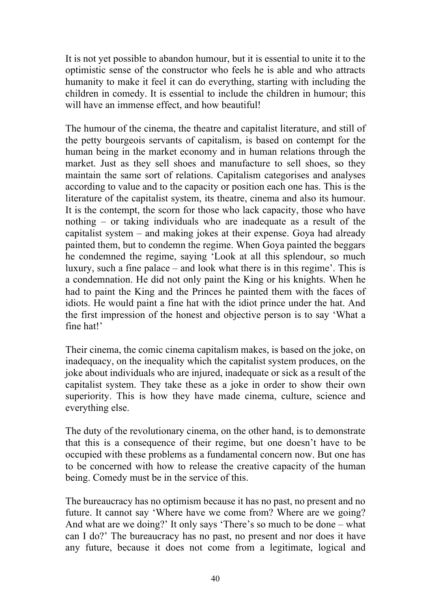It is not yet possible to abandon humour, but it is essential to unite it to the optimistic sense of the constructor who feels he is able and who attracts humanity to make it feel it can do everything, starting with including the children in comedy. It is essential to include the children in humour; this will have an immense effect, and how beautiful!

The humour of the cinema, the theatre and capitalist literature, and still of the petty bourgeois servants of capitalism, is based on contempt for the human being in the market economy and in human relations through the market. Just as they sell shoes and manufacture to sell shoes, so they maintain the same sort of relations. Capitalism categorises and analyses according to value and to the capacity or position each one has. This is the literature of the capitalist system, its theatre, cinema and also its humour. It is the contempt, the scorn for those who lack capacity, those who have nothing – or taking individuals who are inadequate as a result of the capitalist system – and making jokes at their expense. Goya had already painted them, but to condemn the regime. When Goya painted the beggars he condemned the regime, saying 'Look at all this splendour, so much luxury, such a fine palace – and look what there is in this regime'. This is a condemnation. He did not only paint the King or his knights. When he had to paint the King and the Princes he painted them with the faces of idiots. He would paint a fine hat with the idiot prince under the hat. And the first impression of the honest and objective person is to say 'What a fine hat!'

Their cinema, the comic cinema capitalism makes, is based on the joke, on inadequacy, on the inequality which the capitalist system produces, on the joke about individuals who are injured, inadequate or sick as a result of the capitalist system. They take these as a joke in order to show their own superiority. This is how they have made cinema, culture, science and everything else.

The duty of the revolutionary cinema, on the other hand, is to demonstrate that this is a consequence of their regime, but one doesn't have to be occupied with these problems as a fundamental concern now. But one has to be concerned with how to release the creative capacity of the human being. Comedy must be in the service of this.

The bureaucracy has no optimism because it has no past, no present and no future. It cannot say 'Where have we come from? Where are we going? And what are we doing?' It only says 'There's so much to be done – what can I do?' The bureaucracy has no past, no present and nor does it have any future, because it does not come from a legitimate, logical and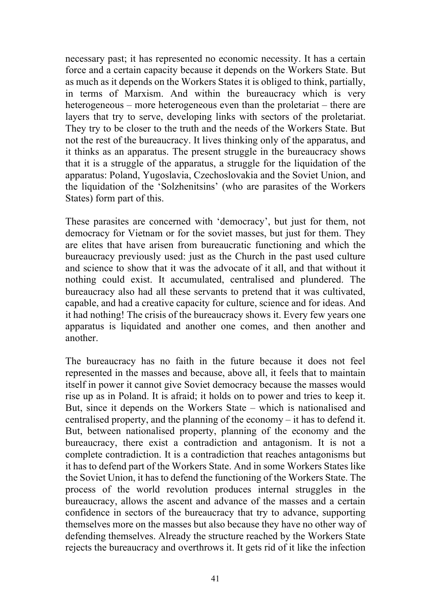necessary past; it has represented no economic necessity. It has a certain force and a certain capacity because it depends on the Workers State. But as much as it depends on the Workers States it is obliged to think, partially, in terms of Marxism. And within the bureaucracy which is very heterogeneous – more heterogeneous even than the proletariat – there are layers that try to serve, developing links with sectors of the proletariat. They try to be closer to the truth and the needs of the Workers State. But not the rest of the bureaucracy. It lives thinking only of the apparatus, and it thinks as an apparatus. The present struggle in the bureaucracy shows that it is a struggle of the apparatus, a struggle for the liquidation of the apparatus: Poland, Yugoslavia, Czechoslovakia and the Soviet Union, and the liquidation of the 'Solzhenitsins' (who are parasites of the Workers States) form part of this.

These parasites are concerned with 'democracy', but just for them, not democracy for Vietnam or for the soviet masses, but just for them. They are elites that have arisen from bureaucratic functioning and which the bureaucracy previously used: just as the Church in the past used culture and science to show that it was the advocate of it all, and that without it nothing could exist. It accumulated, centralised and plundered. The bureaucracy also had all these servants to pretend that it was cultivated, capable, and had a creative capacity for culture, science and for ideas. And it had nothing! The crisis of the bureaucracy shows it. Every few years one apparatus is liquidated and another one comes, and then another and another.

The bureaucracy has no faith in the future because it does not feel represented in the masses and because, above all, it feels that to maintain itself in power it cannot give Soviet democracy because the masses would rise up as in Poland. It is afraid; it holds on to power and tries to keep it. But, since it depends on the Workers State – which is nationalised and centralised property, and the planning of the economy – it has to defend it. But, between nationalised property, planning of the economy and the bureaucracy, there exist a contradiction and antagonism. It is not a complete contradiction. It is a contradiction that reaches antagonisms but it has to defend part of the Workers State. And in some Workers States like the Soviet Union, it has to defend the functioning of the Workers State. The process of the world revolution produces internal struggles in the bureaucracy, allows the ascent and advance of the masses and a certain confidence in sectors of the bureaucracy that try to advance, supporting themselves more on the masses but also because they have no other way of defending themselves. Already the structure reached by the Workers State rejects the bureaucracy and overthrows it. It gets rid of it like the infection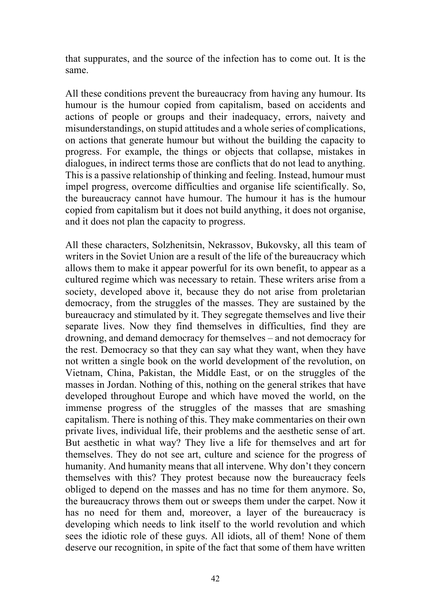that suppurates, and the source of the infection has to come out. It is the same.

All these conditions prevent the bureaucracy from having any humour. Its humour is the humour copied from capitalism, based on accidents and actions of people or groups and their inadequacy, errors, naivety and misunderstandings, on stupid attitudes and a whole series of complications, on actions that generate humour but without the building the capacity to progress. For example, the things or objects that collapse, mistakes in dialogues, in indirect terms those are conflicts that do not lead to anything. This is a passive relationship of thinking and feeling. Instead, humour must impel progress, overcome difficulties and organise life scientifically. So, the bureaucracy cannot have humour. The humour it has is the humour copied from capitalism but it does not build anything, it does not organise, and it does not plan the capacity to progress.

All these characters, Solzhenitsin, Nekrassov, Bukovsky, all this team of writers in the Soviet Union are a result of the life of the bureaucracy which allows them to make it appear powerful for its own benefit, to appear as a cultured regime which was necessary to retain. These writers arise from a society, developed above it, because they do not arise from proletarian democracy, from the struggles of the masses. They are sustained by the bureaucracy and stimulated by it. They segregate themselves and live their separate lives. Now they find themselves in difficulties, find they are drowning, and demand democracy for themselves – and not democracy for the rest. Democracy so that they can say what they want, when they have not written a single book on the world development of the revolution, on Vietnam, China, Pakistan, the Middle East, or on the struggles of the masses in Jordan. Nothing of this, nothing on the general strikes that have developed throughout Europe and which have moved the world, on the immense progress of the struggles of the masses that are smashing capitalism. There is nothing of this. They make commentaries on their own private lives, individual life, their problems and the aesthetic sense of art. But aesthetic in what way? They live a life for themselves and art for themselves. They do not see art, culture and science for the progress of humanity. And humanity means that all intervene. Why don't they concern themselves with this? They protest because now the bureaucracy feels obliged to depend on the masses and has no time for them anymore. So, the bureaucracy throws them out or sweeps them under the carpet. Now it has no need for them and, moreover, a layer of the bureaucracy is developing which needs to link itself to the world revolution and which sees the idiotic role of these guys. All idiots, all of them! None of them deserve our recognition, in spite of the fact that some of them have written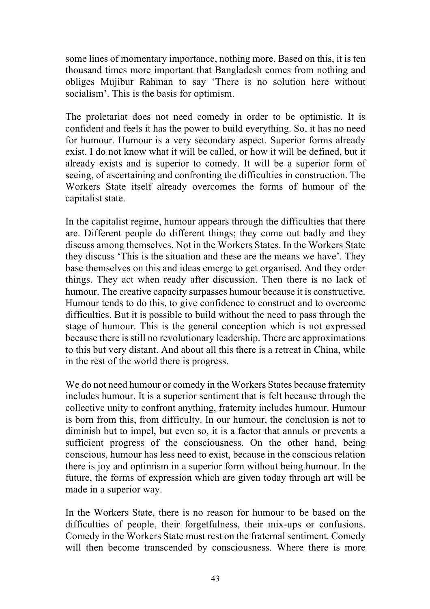some lines of momentary importance, nothing more. Based on this, it is ten thousand times more important that Bangladesh comes from nothing and obliges Mujibur Rahman to say 'There is no solution here without socialism'. This is the basis for optimism.

The proletariat does not need comedy in order to be optimistic. It is confident and feels it has the power to build everything. So, it has no need for humour. Humour is a very secondary aspect. Superior forms already exist. I do not know what it will be called, or how it will be defined, but it already exists and is superior to comedy. It will be a superior form of seeing, of ascertaining and confronting the difficulties in construction. The Workers State itself already overcomes the forms of humour of the capitalist state.

In the capitalist regime, humour appears through the difficulties that there are. Different people do different things; they come out badly and they discuss among themselves. Not in the Workers States. In the Workers State they discuss 'This is the situation and these are the means we have'. They base themselves on this and ideas emerge to get organised. And they order things. They act when ready after discussion. Then there is no lack of humour. The creative capacity surpasses humour because it is constructive. Humour tends to do this, to give confidence to construct and to overcome difficulties. But it is possible to build without the need to pass through the stage of humour. This is the general conception which is not expressed because there is still no revolutionary leadership. There are approximations to this but very distant. And about all this there is a retreat in China, while in the rest of the world there is progress.

We do not need humour or comedy in the Workers States because fraternity includes humour. It is a superior sentiment that is felt because through the collective unity to confront anything, fraternity includes humour. Humour is born from this, from difficulty. In our humour, the conclusion is not to diminish but to impel, but even so, it is a factor that annuls or prevents a sufficient progress of the consciousness. On the other hand, being conscious, humour has less need to exist, because in the conscious relation there is joy and optimism in a superior form without being humour. In the future, the forms of expression which are given today through art will be made in a superior way.

In the Workers State, there is no reason for humour to be based on the difficulties of people, their forgetfulness, their mix-ups or confusions. Comedy in the Workers State must rest on the fraternal sentiment. Comedy will then become transcended by consciousness. Where there is more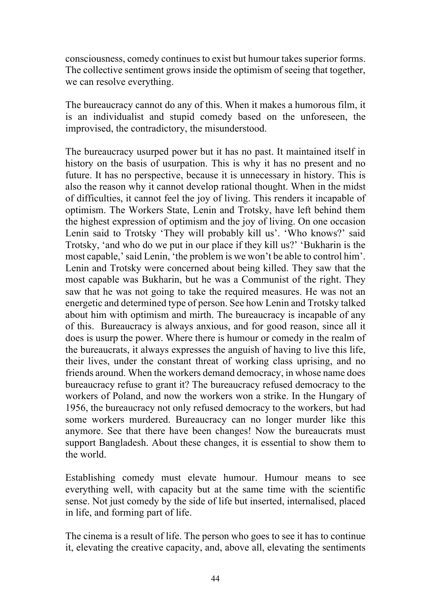consciousness, comedy continues to exist but humour takes superior forms. The collective sentiment grows inside the optimism of seeing that together, we can resolve everything.

The bureaucracy cannot do any of this. When it makes a humorous film, it is an individualist and stupid comedy based on the unforeseen, the improvised, the contradictory, the misunderstood.

The bureaucracy usurped power but it has no past. It maintained itself in history on the basis of usurpation. This is why it has no present and no future. It has no perspective, because it is unnecessary in history. This is also the reason why it cannot develop rational thought. When in the midst of difficulties, it cannot feel the joy of living. This renders it incapable of optimism. The Workers State, Lenin and Trotsky, have left behind them the highest expression of optimism and the joy of living. On one occasion Lenin said to Trotsky 'They will probably kill us'. 'Who knows?' said Trotsky, 'and who do we put in our place if they kill us?' 'Bukharin is the most capable,' said Lenin, 'the problem is we won't be able to control him'. Lenin and Trotsky were concerned about being killed. They saw that the most capable was Bukharin, but he was a Communist of the right. They saw that he was not going to take the required measures. He was not an energetic and determined type of person. See how Lenin and Trotsky talked about him with optimism and mirth. The bureaucracy is incapable of any of this. Bureaucracy is always anxious, and for good reason, since all it does is usurp the power. Where there is humour or comedy in the realm of the bureaucrats, it always expresses the anguish of having to live this life, their lives, under the constant threat of working class uprising, and no friends around. When the workers demand democracy, in whose name does bureaucracy refuse to grant it? The bureaucracy refused democracy to the workers of Poland, and now the workers won a strike. In the Hungary of 1956, the bureaucracy not only refused democracy to the workers, but had some workers murdered. Bureaucracy can no longer murder like this anymore. See that there have been changes! Now the bureaucrats must support Bangladesh. About these changes, it is essential to show them to the world.

Establishing comedy must elevate humour. Humour means to see everything well, with capacity but at the same time with the scientific sense. Not just comedy by the side of life but inserted, internalised, placed in life, and forming part of life.

The cinema is a result of life. The person who goes to see it has to continue it, elevating the creative capacity, and, above all, elevating the sentiments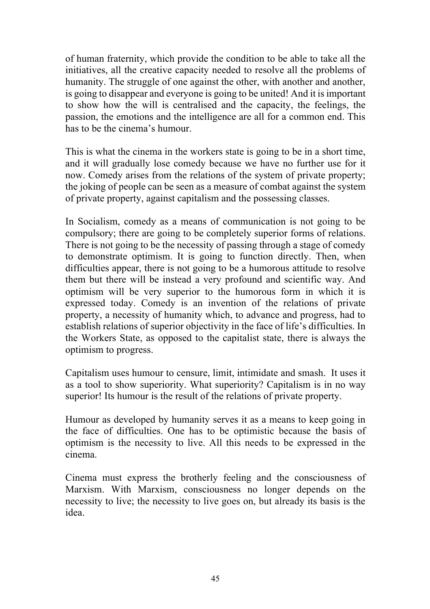of human fraternity, which provide the condition to be able to take all the initiatives, all the creative capacity needed to resolve all the problems of humanity. The struggle of one against the other, with another and another, is going to disappear and everyone is going to be united! And it is important to show how the will is centralised and the capacity, the feelings, the passion, the emotions and the intelligence are all for a common end. This has to be the cinema's humour.

This is what the cinema in the workers state is going to be in a short time, and it will gradually lose comedy because we have no further use for it now. Comedy arises from the relations of the system of private property; the joking of people can be seen as a measure of combat against the system of private property, against capitalism and the possessing classes.

In Socialism, comedy as a means of communication is not going to be compulsory; there are going to be completely superior forms of relations. There is not going to be the necessity of passing through a stage of comedy to demonstrate optimism. It is going to function directly. Then, when difficulties appear, there is not going to be a humorous attitude to resolve them but there will be instead a very profound and scientific way. And optimism will be very superior to the humorous form in which it is expressed today. Comedy is an invention of the relations of private property, a necessity of humanity which, to advance and progress, had to establish relations of superior objectivity in the face of life's difficulties. In the Workers State, as opposed to the capitalist state, there is always the optimism to progress.

Capitalism uses humour to censure, limit, intimidate and smash. It uses it as a tool to show superiority. What superiority? Capitalism is in no way superior! Its humour is the result of the relations of private property.

Humour as developed by humanity serves it as a means to keep going in the face of difficulties. One has to be optimistic because the basis of optimism is the necessity to live. All this needs to be expressed in the cinema.

Cinema must express the brotherly feeling and the consciousness of Marxism. With Marxism, consciousness no longer depends on the necessity to live; the necessity to live goes on, but already its basis is the idea.